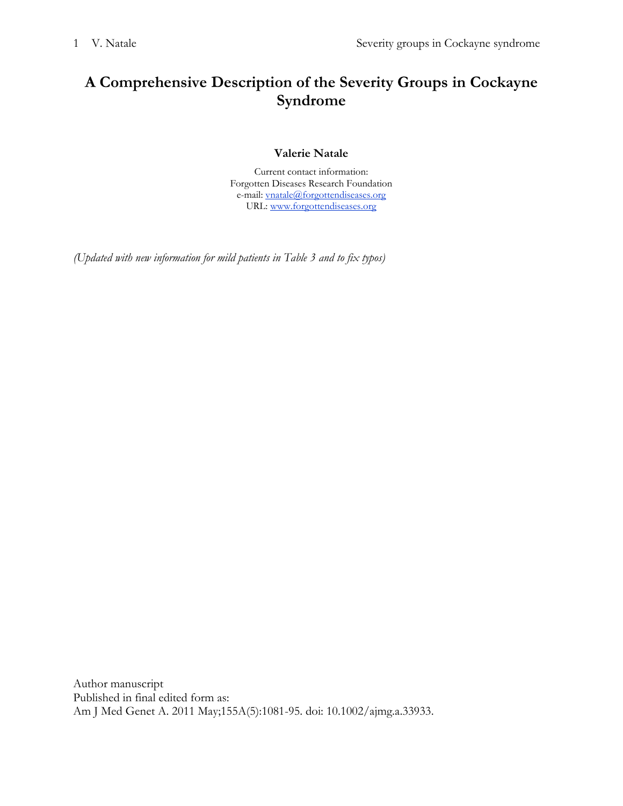# **A Comprehensive Description of the Severity Groups in Cockayne Syndrome**

## **Valerie Natale**

Current contact information: Forgotten Diseases Research Foundation e-mail: [vnatale@forgottendiseases.org](mailto:vnatale@forgottendiseases.org) URL: [www.forgottendiseases.org](http://www.forgottendiseases.org/)

*(Updated with new information for mild patients in Table 3 and to fix typos)*

Author manuscript Published in final edited form as: Am J Med Genet A. 2011 May;155A(5):1081-95. doi: 10.1002/ajmg.a.33933.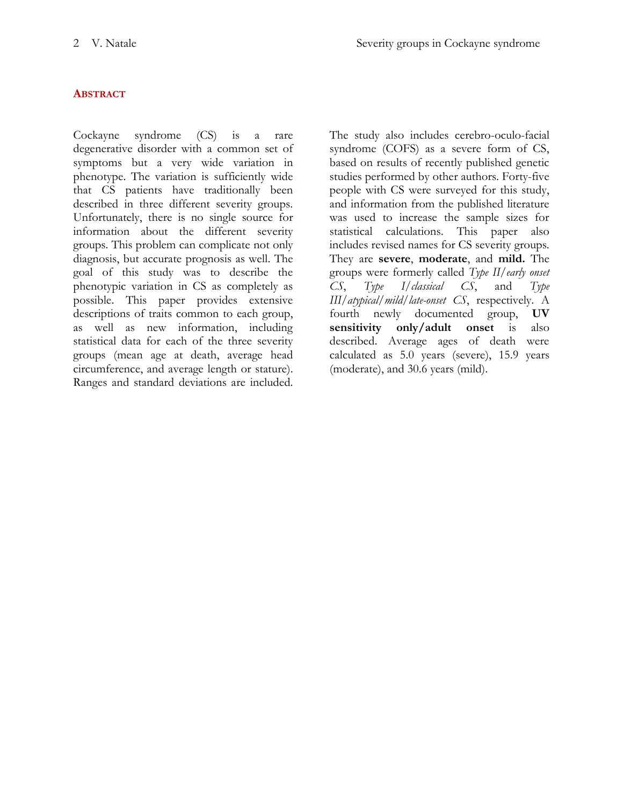## **ABSTRACT**

Cockayne syndrome (CS) is a rare degenerative disorder with a common set of symptoms but a very wide variation in phenotype. The variation is sufficiently wide that CS patients have traditionally been described in three different severity groups. Unfortunately, there is no single source for information about the different severity groups. This problem can complicate not only diagnosis, but accurate prognosis as well. The goal of this study was to describe the phenotypic variation in CS as completely as possible. This paper provides extensive descriptions of traits common to each group, as well as new information, including statistical data for each of the three severity groups (mean age at death, average head circumference, and average length or stature). Ranges and standard deviations are included.

The study also includes cerebro-oculo-facial syndrome (COFS) as a severe form of CS, based on results of recently published genetic studies performed by other authors. Forty-five people with CS were surveyed for this study, and information from the published literature was used to increase the sample sizes for statistical calculations. This paper also includes revised names for CS severity groups. They are **severe**, **moderate**, and **mild.** The groups were formerly called *Type II/early onset CS*, *Type I/classical CS*, and *Type III/atypical/mild/late-onset CS*, respectively. A fourth newly documented group, **UV sensitivity only/adult onset** is also described. Average ages of death were calculated as 5.0 years (severe), 15.9 years (moderate), and 30.6 years (mild).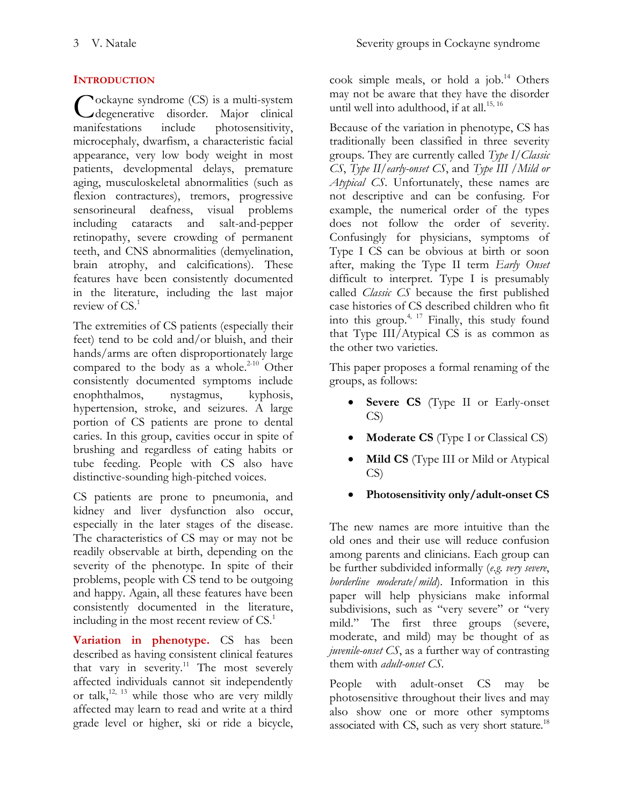## **INTRODUCTION**

ockayne syndrome (CS) is a multi-system Cockayne syndrome (CS) is a multi-system<br>degenerative disorder. Major clinical manifestations include photosensitivity, microcephaly, dwarfism, a characteristic facial appearance, very low body weight in most patients, developmental delays, premature aging, musculoskeletal abnormalities (such as flexion contractures), tremors, progressive sensorineural deafness, visual problems including cataracts and salt-and-pepper retinopathy, severe crowding of permanent teeth, and CNS abnormalities (demyelination, brain atrophy, and calcifications). These features have been consistently documented in the literature, including the last major review of CS[.](#page-19-0) 1

The extremities of CS patients (especially their feet) tend to be cold and/or bluish, and their hands/arms are often disproportionately large compared to the body as a whole. $2^{-10}$  Other consistently documented symptoms include enophthalmos, nystagmus, kyphosis, hypertension, stroke, and seizures. A large portion of CS patients are prone to dental caries. In this group, cavities occur in spite of brushing and regardless of eating habits or tube feeding. People with CS also have distinctive-sounding high-pitched voices.

CS patients are prone to pneumonia, and kidney and liver dysfunction also occur, especially in the later stages of the disease. The characteristics of CS may or may not be readily observable at birth, depending on the severity of the phenotype. In spite of their problems, people with CS tend to be outgoing and happy. Again, all these features have been consistently documented in the literature, including in the most recent review of  $CS$ [.](#page-19-0)<sup>1</sup>

**Variation in phenotype.** CS has been described as having consistent clinical features that vary in severity.<sup>[11](#page-19-2)</sup> The most severely affected individuals cannot sit independently or talk,<sup>[12,](#page-19-3) [13](#page-19-4)</sup> while those who are very mildly affected may learn to read and write at a third grade level or higher, ski or ride a bicycle,

cook simple meals, or hold a job. $^{14}$  $^{14}$  $^{14}$  Others may not be aware that they have the disorder until well into adulthood, if at all.<sup>[15,](#page-19-6) [16](#page-19-7)</sup>

Because of the variation in phenotype, CS has traditionally been classified in three severity groups. They are currently called *Type I/Classic CS*, *Type II/early-onset CS*, and *Type III /Mild or Atypical CS*. Unfortunately, these names are not descriptive and can be confusing. For example, the numerical order of the types does not follow the order of severity. Confusingly for physicians, symptoms of Type I CS can be obvious at birth or soon after, making the Type II term *Early Onset* difficult to interpret. Type I is presumably called *Classic CS* because the first published case histories of CS described children who fit into this group.<sup>[4,](#page-19-8) [17](#page-19-9)</sup> Finally, this study found that Type III/Atypical CS is as common as the other two varieties.

This paper proposes a formal renaming of the groups, as follows:

- **Severe CS** (Type II or Early-onset CS)
- **Moderate CS** (Type I or Classical CS)
- **Mild CS** (Type III or Mild or Atypical CS)
- **Photosensitivity only/adult-onset CS**

The new names are more intuitive than the old ones and their use will reduce confusion among parents and clinicians. Each group can be further subdivided informally (*e.g. very severe*, *borderline moderate/mild*). Information in this paper will help physicians make informal subdivisions, such as "very severe" or "very mild." The first three groups (severe, moderate, and mild) may be thought of as *juvenile-onset CS*, as a further way of contrasting them with *adult-onset CS*.

People with adult-onset CS may be photosensitive throughout their lives and may also show one or more other symptoms associated with CS, such as very short stature.<sup>[18](#page-19-10)</sup>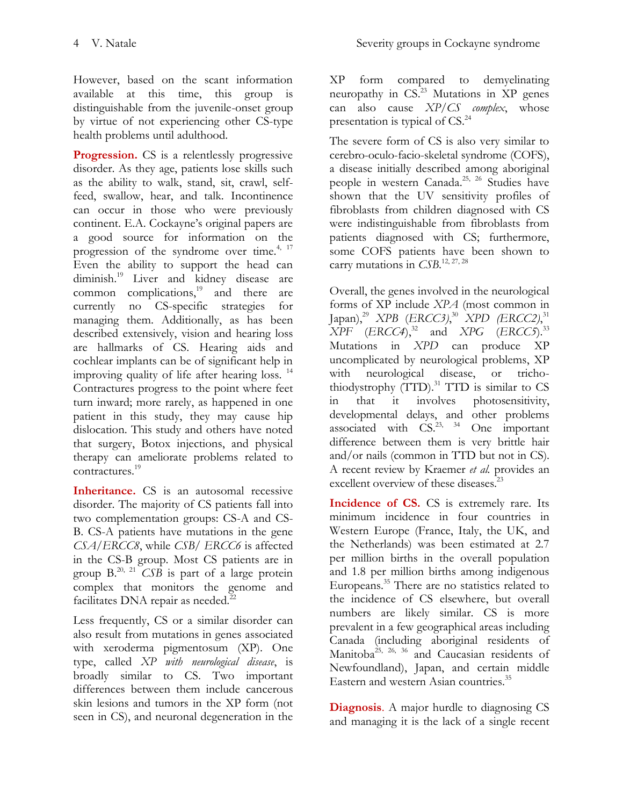However, based on the scant information available at this time, this group is distinguishable from the juvenile-onset group by virtue of not experiencing other CS-type health problems until adulthood.

**Progression.** CS is a relentlessly progressive disorder. As they age, patients lose skills such as the ability to walk, stand, sit, crawl, selffeed, swallow, hear, and talk. Incontinence can occur in those who were previously continent. E.A. Cockayne's original papers are a good source for information on the progression of the syndrome over time.<sup>[4,](#page-19-8) [17](#page-19-9)</sup> Even the ability to support the head can diminish.[19](#page-19-11) Liver and kidney disease are common complications, [19](#page-19-11) and there are currently no CS-specific strategies for managing them. Additionally, as has been described extensively, vision and hearing loss are hallmarks of CS. Hearing aids and cochlear implants can be of significant help in improving quality of life after hearing loss.<sup>[14](#page-19-5)</sup> Contractures progress to the point where feet turn inward; more rarely, as happened in one patient in this study, they may cause hip dislocation. This study and others have noted that surgery, Botox injections, and physical therapy can ameliorate problems related to contractures.[19](#page-19-11)

Inheritance. CS is an autosomal recessive disorder. The majority of CS patients fall into two complementation groups: CS-A and CS-B. CS-A patients have mutations in the gene *CSA*/*ERCC8*, while *CSB/ ERCC6* is affected in the CS-B group. Most CS patients are in group  $B^{20, 21}$  $B^{20, 21}$  $B^{20, 21}$  $B^{20, 21}$  *CSB* is part of a large protein complex that monitors the genome and facilitates DNA repair as needed. $^{22}$  $^{22}$  $^{22}$ 

Less frequently, CS or a similar disorder can also result from mutations in genes associated with xeroderma pigmentosum (XP). One type, called *XP with neurological disease*, is broadly similar to CS. Two important differences between them include cancerous skin lesions and tumors in the XP form (not seen in CS), and neuronal degeneration in the

XP form compared to demyelinating neuropathy in  $CS<sup>23</sup>$  $CS<sup>23</sup>$  $CS<sup>23</sup>$  Mutations in XP genes can also cause *XP/CS complex*, whose presentation is typical of CS.<sup>[24](#page-20-3)</sup>

The severe form of CS is also very similar to cerebro-oculo-facio-skeletal syndrome (COFS), a disease initially described among aboriginal people in western Canada. [25,](#page-20-4) [26](#page-20-5) Studies have shown that the UV sensitivity profiles of fibroblasts from children diagnosed with CS were indistinguishable from fibroblasts from patients diagnosed with CS; furthermore, some COFS patients have been shown to carry mutations in *CSB*. [12,](#page-19-3) [27,](#page-20-6) [28](#page-20-7)

Overall, the genes involved in the neurological forms of XP include *XPA* (most common in Japan), [29](#page-20-8) *XPB* (*ERCC3)*, [30](#page-20-9) *XPD (ERCC2)*, [31](#page-20-10) *XPF* (*ERCC4*),<sup>[32](#page-20-11)</sup> and *XPG* (*ERCC5*).<sup>[33](#page-20-12)</sup> Mutations in *XPD* can produce XP uncomplicated by neurological problems, XP with neurological disease, or trichothiodystrophy (TTD). [31](#page-20-10) TTD is similar to CS in that it involves photosensitivity, developmental delays, and other problems associated with CS.<sup>23, 34</sup> One important difference between them is very brittle hair and/or nails (common in TTD but not in CS). A recent review by Kraemer *et al.* provides an excellent overview of these diseases.<sup>[23](#page-20-2)</sup>

**Incidence of CS.** CS is extremely rare. Its minimum incidence in four countries in Western Europe (France, Italy, the UK, and the Netherlands) was been estimated at 2.7 per million births in the overall population and 1.8 per million births among indigenous Europeans. [35](#page-20-14) There are no statistics related to the incidence of CS elsewhere, but overall numbers are likely similar. CS is more prevalent in a few geographical areas including Canada (including aboriginal residents of Manitoba<sup>[25,](#page-20-4) [26,](#page-20-5) [36](#page-20-15)</sup> and Caucasian residents of Newfoundland), Japan, and certain middle Eastern and western Asian countries.<sup>[35](#page-20-14)</sup>

**Diagnosis**. A major hurdle to diagnosing CS and managing it is the lack of a single recent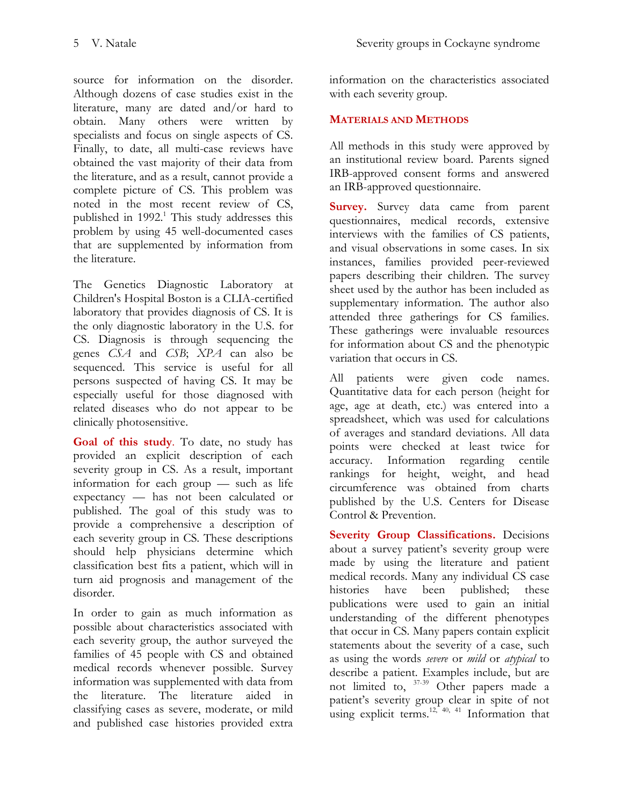the literature.

source for information on the disorder. Although dozens of case studies exist in the literature, many are dated and/or hard to obtain. Many others were written by specialists and focus on single aspects of CS. Finally, to date, all multi-case reviews have obtained the vast majority of their data from the literature, and as a result, cannot provide a complete picture of CS. This problem was noted in the most recent review of CS, published in 1992[.](#page-19-0) <sup>1</sup> This study addresses this problem by using 45 well-documented cases that are supplemented by information from

The Genetics Diagnostic Laboratory at Children's Hospital Boston is a CLIA-certified laboratory that provides diagnosis of CS. It is the only diagnostic laboratory in the U.S. for CS. Diagnosis is through sequencing the genes *CSA* and *CSB*; *XPA* can also be sequenced. This service is useful for all persons suspected of having CS. It may be especially useful for those diagnosed with related diseases who do not appear to be clinically photosensitive.

**Goal of this study**. To date, no study has provided an explicit description of each severity group in CS. As a result, important information for each group — such as life expectancy — has not been calculated or published. The goal of this study was to provide a comprehensive a description of each severity group in CS. These descriptions should help physicians determine which classification best fits a patient, which will in turn aid prognosis and management of the disorder.

In order to gain as much information as possible about characteristics associated with each severity group, the author surveyed the families of 45 people with CS and obtained medical records whenever possible. Survey information was supplemented with data from the literature. The literature aided in classifying cases as severe, moderate, or mild and published case histories provided extra

information on the characteristics associated with each severity group.

## **MATERIALS AND METHODS**

All methods in this study were approved by an institutional review board. Parents signed IRB-approved consent forms and answered an IRB-approved questionnaire.

**Survey.** Survey data came from parent questionnaires, medical records, extensive interviews with the families of CS patients, and visual observations in some cases. In six instances, families provided peer-reviewed papers describing their children. The survey sheet used by the author has been included as supplementary information. The author also attended three gatherings for CS families. These gatherings were invaluable resources for information about CS and the phenotypic variation that occurs in CS.

All patients were given code names. Quantitative data for each person (height for age, age at death, etc.) was entered into a spreadsheet, which was used for calculations of averages and standard deviations. All data points were checked at least twice for accuracy. Information regarding centile rankings for height, weight, and head circumference was obtained from charts published by the U.S. Centers for Disease Control & Prevention.

**Severity Group Classifications.** Decisions about a survey patient's severity group were made by using the literature and patient medical records. Many any individual CS case histories have been published; these publications were used to gain an initial understanding of the different phenotypes that occur in CS. Many papers contain explicit statements about the severity of a case, such as using the words *severe* or *mild* or *atypical* to describe a patient. Examples include, but are not limited to, [37-39](#page-20-16) Other papers made a patient's severity group clear in spite of not using explicit terms.<sup>[12,](#page-19-3) [40,](#page-21-0) [41](#page-21-1)</sup> Information that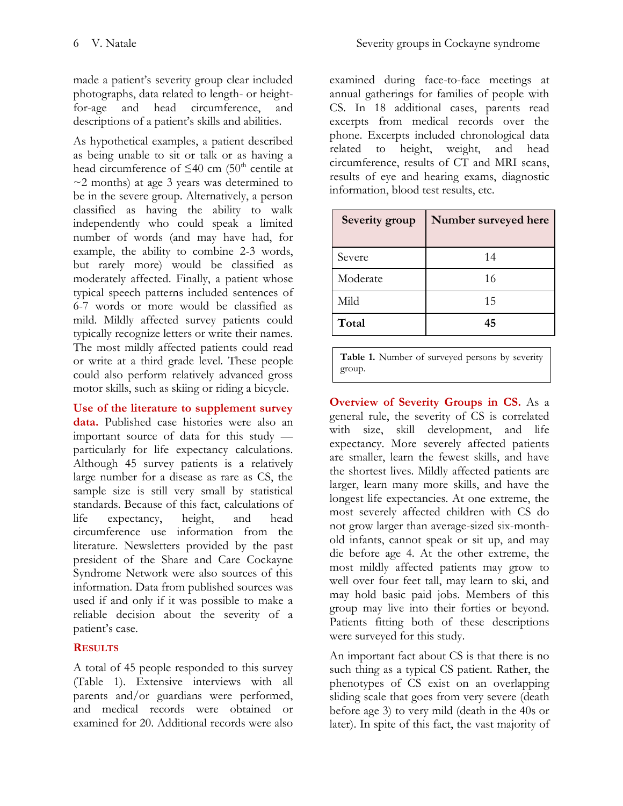made a patient's severity group clear included photographs, data related to length- or heightfor-age and head circumference, and descriptions of a patient's skills and abilities.

As hypothetical examples, a patient described as being unable to sit or talk or as having a head circumference of  $\leq 40$  cm (50<sup>th</sup> centile at  $\sim$ 2 months) at age 3 years was determined to be in the severe group. Alternatively, a person classified as having the ability to walk independently who could speak a limited number of words (and may have had, for example, the ability to combine 2-3 words, but rarely more) would be classified as moderately affected. Finally, a patient whose typical speech patterns included sentences of 6-7 words or more would be classified as mild. Mildly affected survey patients could typically recognize letters or write their names. The most mildly affected patients could read or write at a third grade level. These people could also perform relatively advanced gross motor skills, such as skiing or riding a bicycle.

**Use of the literature to supplement survey data.** Published case histories were also an important source of data for this study particularly for life expectancy calculations. Although 45 survey patients is a relatively large number for a disease as rare as CS, the sample size is still very small by statistical standards. Because of this fact, calculations of life expectancy, height, and head circumference use information from the literature. Newsletters provided by the past president of the Share and Care Cockayne Syndrome Network were also sources of this information. Data from published sources was used if and only if it was possible to make a reliable decision about the severity of a patient's case.

## **RESULTS**

A total of 45 people responded to this survey (Table 1). Extensive interviews with all parents and/or guardians were performed, and medical records were obtained or examined for 20. Additional records were also

examined during face-to-face meetings at annual gatherings for families of people with CS. In 18 additional cases, parents read excerpts from medical records over the phone. Excerpts included chronological data related to height, weight, and head circumference, results of CT and MRI scans, results of eye and hearing exams, diagnostic information, blood test results, etc.

| Severity group | Number surveyed here |
|----------------|----------------------|
| Severe         | 14                   |
| Moderate       | 16                   |
| Mild           | 15                   |
| Total          | 45                   |

**Table 1.** Number of surveyed persons by severity group.

**Overview of Severity Groups in CS.** As a general rule, the severity of CS is correlated with size, skill development, and life expectancy. More severely affected patients are smaller, learn the fewest skills, and have the shortest lives. Mildly affected patients are larger, learn many more skills, and have the longest life expectancies. At one extreme, the most severely affected children with CS do not grow larger than average-sized six-monthold infants, cannot speak or sit up, and may die before age 4. At the other extreme, the most mildly affected patients may grow to well over four feet tall, may learn to ski, and may hold basic paid jobs. Members of this group may live into their forties or beyond. Patients fitting both of these descriptions were surveyed for this study.

An important fact about CS is that there is no such thing as a typical CS patient. Rather, the phenotypes of CS exist on an overlapping sliding scale that goes from very severe (death before age 3) to very mild (death in the 40s or later). In spite of this fact, the vast majority of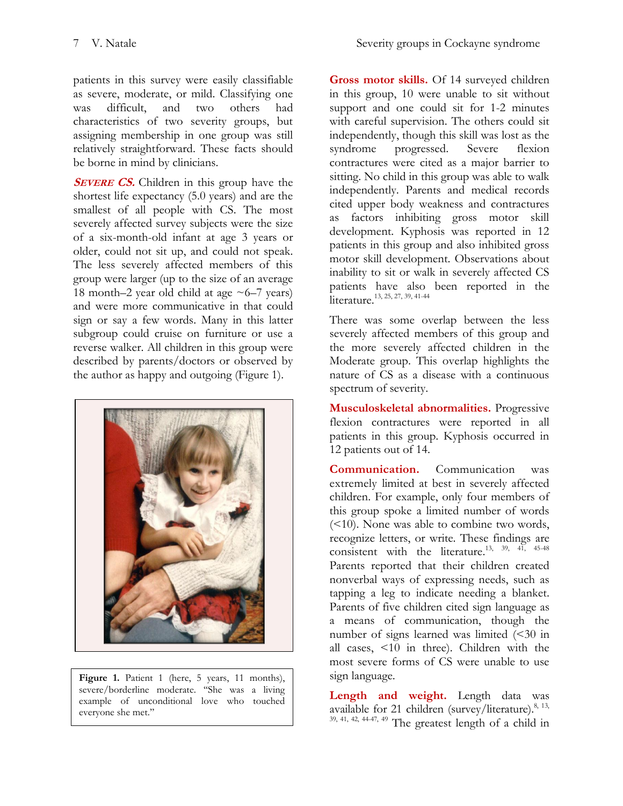patients in this survey were easily classifiable as severe, moderate, or mild. Classifying one was difficult, and two others had characteristics of two severity groups, but assigning membership in one group was still relatively straightforward. These facts should be borne in mind by clinicians.

**SEVERE CS.** Children in this group have the shortest life expectancy (5.0 years) and are the smallest of all people with CS. The most severely affected survey subjects were the size of a six-month-old infant at age 3 years or older, could not sit up, and could not speak. The less severely affected members of this group were larger (up to the size of an average 18 month–2 year old child at age  $\sim$  6–7 years) and were more communicative in that could sign or say a few words. Many in this latter subgroup could cruise on furniture or use a reverse walker. All children in this group were described by parents/doctors or observed by the author as happy and outgoing (Figure 1).



Figure 1. Patient 1 (here, 5 years, 11 months), severe/borderline moderate. ''She was a living example of unconditional love who touched everyone she met.''

**Gross motor skills.** Of 14 surveyed children in this group, 10 were unable to sit without support and one could sit for 1-2 minutes with careful supervision. The others could sit independently, though this skill was lost as the syndrome progressed. Severe flexion contractures were cited as a major barrier to sitting. No child in this group was able to walk independently. Parents and medical records cited upper body weakness and contractures as factors inhibiting gross motor skill development. Kyphosis was reported in 12 patients in this group and also inhibited gross motor skill development. Observations about inability to sit or walk in severely affected CS patients have also been reported in the literature. [13,](#page-19-4) [25,](#page-20-4) [27,](#page-20-6) [39,](#page-21-2) [41-44](#page-21-1)

There was some overlap between the less severely affected members of this group and the more severely affected children in the Moderate group. This overlap highlights the nature of CS as a disease with a continuous spectrum of severity.

**Musculoskeletal abnormalities.** Progressive flexion contractures were reported in all patients in this group. Kyphosis occurred in 12 patients out of 14.

**Communication.** Communication was extremely limited at best in severely affected children. For example, only four members of this group spoke a limited number of words (<10). None was able to combine two words, recognize letters, or write. These findings are consistent with the literature.<sup>[13,](#page-19-4) [39,](#page-21-2) [41,](#page-21-1) [45-48](#page-21-3)</sup> Parents reported that their children created nonverbal ways of expressing needs, such as tapping a leg to indicate needing a blanket. Parents of five children cited sign language as a means of communication, though the number of signs learned was limited (<30 in all cases, <10 in three). Children with the most severe forms of CS were unable to use sign language.

**Length and weight.** Length data was available for 21 children (survey/literature).<sup>[8,](#page-19-13) 13,</sup>  $39, 41, 42, 44-47, 49$  $39, 41, 42, 44-47, 49$  $39, 41, 42, 44-47, 49$  $39, 41, 42, 44-47, 49$  $39, 41, 42, 44-47, 49$  The greatest length of a child in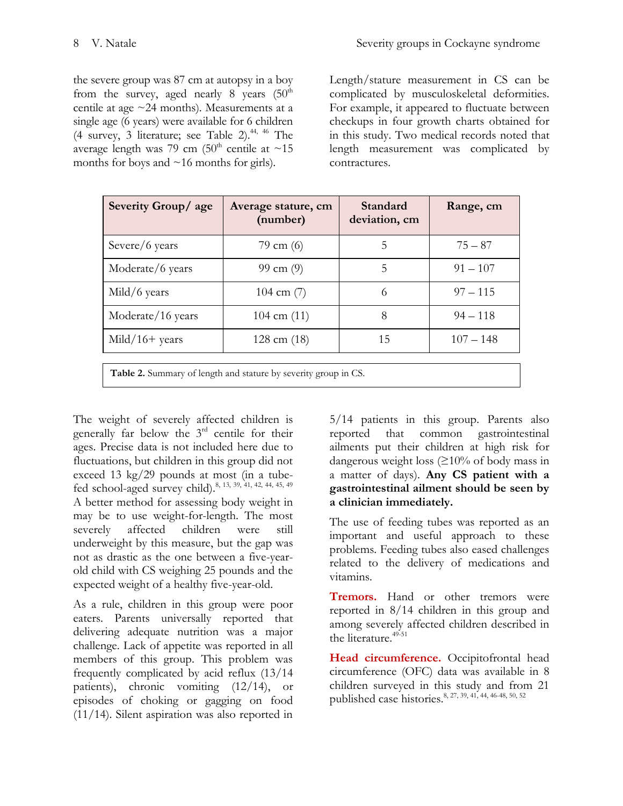the severe group was 87 cm at autopsy in a boy from the survey, aged nearly 8 years  $(50<sup>th</sup>$ centile at age ~24 months). Measurements at a single age (6 years) were available for 6 children (4 survey, 3 literature; see Table 2). [44,](#page-21-5) [46](#page-21-7) The average length was 79 cm  $(50<sup>th</sup>$  centile at  $\sim$ 15 months for boys and  $\sim$ 16 months for girls).

Length/stature measurement in CS can be complicated by musculoskeletal deformities. For example, it appeared to fluctuate between checkups in four growth charts obtained for in this study. Two medical records noted that length measurement was complicated by contractures.

| Severity Group/age | Average stature, cm<br>(number) | Standard<br>deviation, cm | Range, cm   |
|--------------------|---------------------------------|---------------------------|-------------|
| Severe/6 years     | 79 cm $(6)$                     | $\mathcal{D}$             | $75 - 87$   |
| Moderate/6 years   | 99 cm $(9)$                     | 5                         | $91 - 107$  |
| Mild/6 years       | 104 cm $(7)$                    | 6                         | $97 - 115$  |
| Moderate/16 years  | $104 \text{ cm } (11)$          | 8                         | $94 - 118$  |
| $Mid/16+ years$    | $128$ cm $(18)$                 | 15                        | $107 - 148$ |
| --                 |                                 |                           |             |

**Table 2.** Summary of length and stature by severity group in CS.

The weight of severely affected children is generally far below the 3rd centile for their ages. Precise data is not included here due to fluctuations, but children in this group did not exceed 13 kg/29 pounds at most (in a tube-fed school-aged survey child).<sup>[8,](#page-19-13) [13,](#page-19-4) [39,](#page-21-2) [41,](#page-21-1) [42,](#page-21-4) [44,](#page-21-5) [45,](#page-21-3) [49](#page-21-6)</sup> A better method for assessing body weight in may be to use weight-for-length. The most severely affected children were still underweight by this measure, but the gap was not as drastic as the one between a five-yearold child with CS weighing 25 pounds and the expected weight of a healthy five-year-old.

As a rule, children in this group were poor eaters. Parents universally reported that delivering adequate nutrition was a major challenge. Lack of appetite was reported in all members of this group. This problem was frequently complicated by acid reflux (13/14 patients), chronic vomiting (12/14), or episodes of choking or gagging on food (11/14). Silent aspiration was also reported in

5/14 patients in this group. Parents also reported that common gastrointestinal ailments put their children at high risk for dangerous weight loss (≥10% of body mass in a matter of days). **Any CS patient with a gastrointestinal ailment should be seen by a clinician immediately.**

The use of feeding tubes was reported as an important and useful approach to these problems. Feeding tubes also eased challenges related to the delivery of medications and vitamins.

**Tremors.** Hand or other tremors were reported in 8/14 children in this group and among severely affected children described in the literature. [49-51](#page-21-6)

**Head circumference.** Occipitofrontal head circumference (OFC) data was available in 8 children surveyed in this study and from 21 published case histories. [8,](#page-19-13) [27,](#page-20-6) [39,](#page-21-2) [41,](#page-21-1) [44,](#page-21-5) [46-48,](#page-21-7) [50,](#page-21-8) [52](#page-21-9)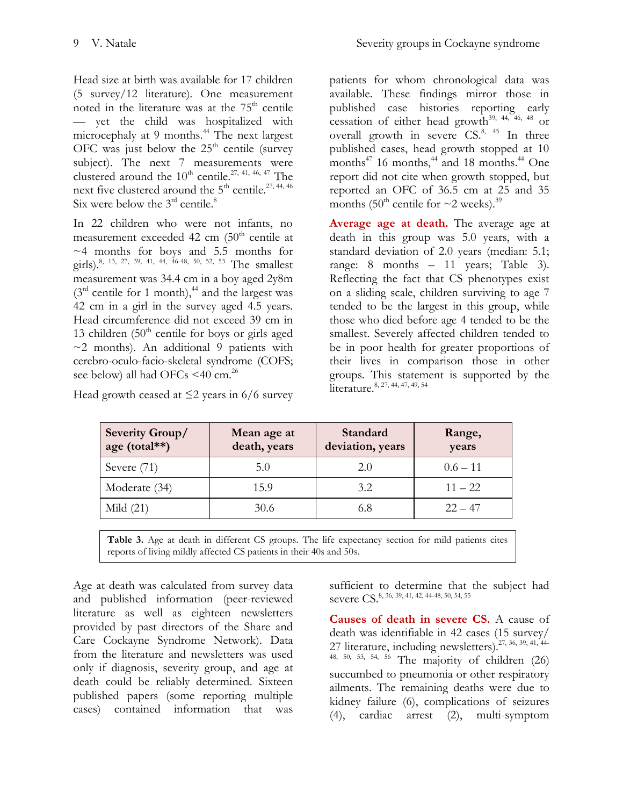Head size at birth was available for 17 children (5 survey/12 literature). One measurement noted in the literature was at the  $75<sup>th</sup>$  centile — yet the child was hospitalized with microcephaly at 9 months. [44](#page-21-5) The next largest OFC was just below the  $25<sup>th</sup>$  centile (survey) subject). The next 7 measurements were clustered around the  $10^{th}$  centile.<sup>[27,](#page-20-6) [41,](#page-21-1) [46,](#page-21-7) [47](#page-21-10)</sup> The next five clustered around the  $5^{\text{th}}$  centile.<sup>[27,](#page-20-6) [44,](#page-21-5) [46](#page-21-7)</sup> Six were below the  $3<sup>rd</sup>$  centile[.](#page-19-13)<sup>8</sup>

In 22 children who were not infants, no measurement exceeded 42 cm  $(50<sup>th</sup>$  centile at ~4 months for boys and 5.5 months for girls).<sup>[8,](#page-19-13) [13,](#page-19-4) [27,](#page-20-6) [39,](#page-21-2) [41,](#page-21-1) [44,](#page-21-5) [46-48,](#page-21-7) [50,](#page-21-8) [52,](#page-21-9) [53](#page-21-11)</sup> The smallest measurement was 34.4 cm in a boy aged 2y8m  $(3<sup>rd</sup>$  centile for 1 month),<sup>[44](#page-21-5)</sup> and the largest was 42 cm in a girl in the survey aged 4.5 years. Head circumference did not exceed 39 cm in 13 children  $(50<sup>th</sup>$  centile for boys or girls aged  $\sim$ 2 months). An additional 9 patients with cerebro-oculo-facio-skeletal syndrome (COFS; see below) all had OFCs  $\leq$ 40 cm.<sup>[26](#page-20-5)</sup>

Head growth ceased at  $\leq$ 2 years in 6/6 survey

patients for whom chronological data was available. These findings mirror those in published case histories reporting early cessation of either head growth $^{39,44,46,48}$  $^{39,44,46,48}$  $^{39,44,46,48}$  or overall growth in severe  $CS^{8, 45}$  $CS^{8, 45}$  $CS^{8, 45}$  $CS^{8, 45}$  In three published cases, head growth stopped at 10 months $47$  16 months,  $44$  and 18 months.  $44$  One report did not cite when growth stopped, but reported an OFC of 36.5 cm at 25 and 35 months (50<sup>th</sup> centile for  $\sim$ 2 weeks).<sup>[39](#page-21-2)</sup>

**Average age at death.** The average age at death in this group was 5.0 years, with a standard deviation of 2.0 years (median: 5.1; range: 8 months – 11 years; Table 3). Reflecting the fact that CS phenotypes exist on a sliding scale, children surviving to age 7 tended to be the largest in this group, while those who died before age 4 tended to be the smallest. Severely affected children tended to be in poor health for greater proportions of their lives in comparison those in other groups. This statement is supported by the literature.<sup>[8,](#page-19-13) [27,](#page-20-6) [44,](#page-21-5) [47,](#page-21-10) [49,](#page-21-6) [54](#page-21-13)</sup>

| <b>Severity Group/</b><br>age (total**) | Mean age at<br>death, years | Standard<br>deviation, years | Range,<br>years |
|-----------------------------------------|-----------------------------|------------------------------|-----------------|
| Severe $(71)$                           | 5(0)                        | 2.0                          | $0.6 - 11$      |
| Moderate (34)                           | 15.9                        | 3.2                          | $11 - 22$       |
| Mild $(21)$                             | 30.6                        | 6.8                          | $22 - 47$       |

Table 3. Age at death in different CS groups. The life expectancy section for mild patients cites reports of living mildly affected CS patients in their 40s and 50s.

Age at death was calculated from survey data and published information (peer-reviewed literature as well as eighteen newsletters provided by past directors of the Share and Care Cockayne Syndrome Network). Data from the literature and newsletters was used only if diagnosis, severity group, and age at death could be reliably determined. Sixteen published papers (some reporting multiple cases) contained information that was

sufficient to determine that the subject had severe CS.<sup>[8,](#page-19-13) [36,](#page-20-15) [39,](#page-21-2) [41,](#page-21-1) [42,](#page-21-4) [44-48,](#page-21-5) [50,](#page-21-8) [54,](#page-21-13) [55](#page-21-14)</sup>

**Causes of death in severe CS.** A cause of death was identifiable in 42 cases (15 survey/ 27 literature, including newsletters).<sup>[27,](#page-20-6) [36,](#page-20-15) [39,](#page-21-2) [41,](#page-21-1) [44-](#page-21-5)</sup>  $48, 50, 53, 54, 56$  $48, 50, 53, 54, 56$  $48, 50, 53, 54, 56$  $48, 50, 53, 54, 56$  $48, 50, 53, 54, 56$  The majority of children (26) succumbed to pneumonia or other respiratory ailments. The remaining deaths were due to kidney failure (6), complications of seizures (4), cardiac arrest (2), multi-symptom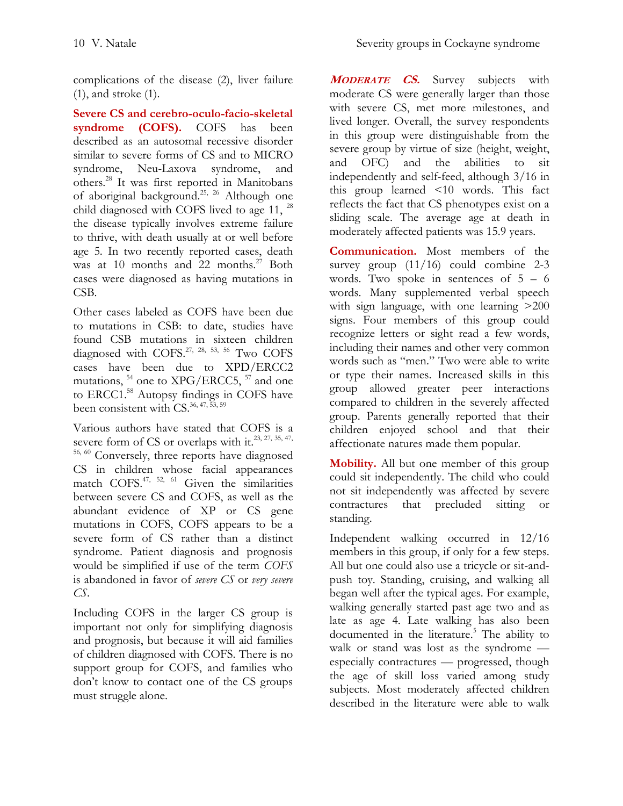complications of the disease (2), liver failure (1), and stroke (1).

**Severe CS and cerebro-oculo-facio-skeletal syndrome (COFS).** COFS has been described as an autosomal recessive disorder similar to severe forms of CS and to MICRO syndrome, Neu-Laxova syndrome, and others. [28](#page-20-7) It was first reported in Manitobans of aboriginal background.<sup>[25,](#page-20-4) [26](#page-20-5)</sup> Although one child diagnosed with COFS lived to age 11, <sup>[28](#page-20-7)</sup> the disease typically involves extreme failure to thrive, with death usually at or well before age 5. In two recently reported cases, death was at 10 months and 22 months. [27](#page-20-6) Both cases were diagnosed as having mutations in CSB.

Other cases labeled as COFS have been due to mutations in CSB: to date, studies have found CSB mutations in sixteen children diagnosed with  $COFS$ <sup>[27,](#page-20-6) [28,](#page-20-7) [53,](#page-21-11) [56](#page-22-0)</sup> Two COFS cases have been due to XPD/ERCC2 mutations, <sup>[54](#page-21-13)</sup> one to XPG/ERCC5, <sup>[57](#page-22-1)</sup> and one to ERCC1. [58](#page-22-2) Autopsy findings in COFS have been consistent with CS. [36,](#page-20-15) [47,](#page-21-10) [53,](#page-21-11) [59](#page-22-3)

Various authors have stated that COFS is a severe form of CS or overlaps with it.<sup>[23,](#page-20-2) [27,](#page-20-6) [35,](#page-20-14) 47,</sup> [56,](#page-22-0) [60](#page-22-4) Conversely, three reports have diagnosed CS in children whose facial appearances match COFS. [47,](#page-21-10) [52,](#page-21-9) [61](#page-22-5) Given the similarities between severe CS and COFS, as well as the abundant evidence of XP or CS gene mutations in COFS, COFS appears to be a severe form of CS rather than a distinct syndrome. Patient diagnosis and prognosis would be simplified if use of the term *COFS* is abandoned in favor of *severe CS* or *very severe CS*.

Including COFS in the larger CS group is important not only for simplifying diagnosis and prognosis, but because it will aid families of children diagnosed with COFS. There is no support group for COFS, and families who don't know to contact one of the CS groups must struggle alone.

**<sup>M</sup>ODERATE CS.** Survey subjects with moderate CS were generally larger than those with severe CS, met more milestones, and lived longer. Overall, the survey respondents in this group were distinguishable from the severe group by virtue of size (height, weight, and OFC) and the abilities to sit independently and self-feed, although 3/16 in this group learned <10 words. This fact reflects the fact that CS phenotypes exist on a sliding scale. The average age at death in moderately affected patients was 15.9 years.

**Communication.** Most members of the survey group  $(11/16)$  could combine 2-3 words. Two spoke in sentences of 5 – 6 words. Many supplemented verbal speech with sign language, with one learning  $>200$ signs. Four members of this group could recognize letters or sight read a few words, including their names and other very common words such as "men." Two were able to write or type their names. Increased skills in this group allowed greater peer interactions compared to children in the severely affected group. Parents generally reported that their children enjoyed school and that their affectionate natures made them popular.

**Mobility.** All but one member of this group could sit independently. The child who could not sit independently was affected by severe contractures that precluded sitting standing.

Independent walking occurred in 12/16 members in this group, if only for a few steps. All but one could also use a tricycle or sit-andpush toy. Standing, cruising, and walking all began well after the typical ages. For example, walking generally started past age two and as late as age 4. Late walking has also been documented in the literature[.](#page-19-14) <sup>5</sup> The ability to walk or stand was lost as the syndrome especially contractures — progressed, though the age of skill loss varied among study subjects. Most moderately affected children described in the literature were able to walk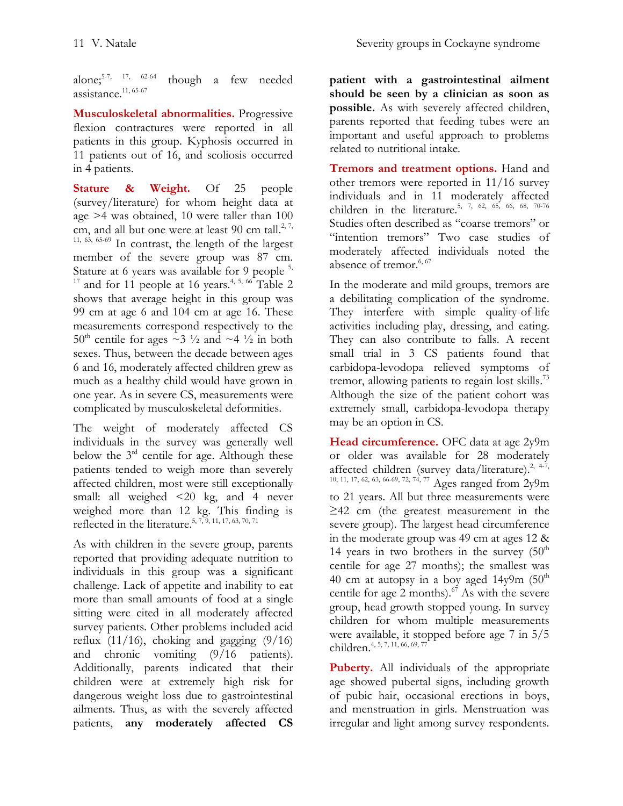alone: $5-7$ ,  $17$ ,  $62-64$ though a few needed assistance. [11,](#page-19-2) [65-67](#page-22-7)

**Musculoskeletal abnormalities.** Progressive flexion contractures were reported in all patients in this group. Kyphosis occurred in 11 patients out of 16, and scoliosis occurred in 4 patients.

**Stature & Weight.** Of 25 people (survey/literature) for whom height data at age >4 was obtained, 10 were taller than 100 cm, and all but one were at least 90 cm tall.<sup>[2,](#page-19-1) 7,</sup>  $11, 63, 65-69$  $11, 63, 65-69$  $11, 63, 65-69$  In contrast, the length of the largest member of the severe group was 87 cm. Stature at 6 years was available for 9 people  $5$ , <sup>[17](#page-19-9)</sup> and for 11 people at 16 years.<sup>[4,](#page-19-8) [5,](#page-19-14) [66](#page-22-9)</sup> Table 2 shows that average height in this group was 99 cm at age 6 and 104 cm at age 16. These measurements correspond respectively to the  $50^{\text{th}}$  centile for ages  $\sim$ 3  $\frac{1}{2}$  and  $\sim$ 4  $\frac{1}{2}$  in both sexes. Thus, between the decade between ages 6 and 16, moderately affected children grew as much as a healthy child would have grown in one year. As in severe CS, measurements were complicated by musculoskeletal deformities.

The weight of moderately affected CS individuals in the survey was generally well below the  $3<sup>rd</sup>$  centile for age. Although these patients tended to weigh more than severely affected children, most were still exceptionally small: all weighed <20 kg, and 4 never weighed more than 12 kg. This finding is reflected in the literature.<sup>[5,](#page-19-14) [7,](#page-19-15) [9,](#page-19-16) [11,](#page-19-2) [17,](#page-19-9) [63,](#page-22-8) [70,](#page-22-10) [71](#page-22-11)</sup>

As with children in the severe group, parents reported that providing adequate nutrition to individuals in this group was a significant challenge. Lack of appetite and inability to eat more than small amounts of food at a single sitting were cited in all moderately affected survey patients. Other problems included acid reflux  $(11/16)$ , choking and gagging  $(9/16)$ and chronic vomiting (9/16 patients). Additionally, parents indicated that their children were at extremely high risk for dangerous weight loss due to gastrointestinal ailments. Thus, as with the severely affected patients, **any moderately affected CS** 

**patient with a gastrointestinal ailment should be seen by a clinician as soon as possible.** As with severely affected children, parents reported that feeding tubes were an important and useful approach to problems related to nutritional intake.

**Tremors and treatment options.** Hand and other tremors were reported in 11/16 survey individuals and in 11 moderately affected children in the literature.<sup>[5,](#page-19-14) [7,](#page-19-15) [62,](#page-22-6) [65,](#page-22-7) [66,](#page-22-9) [68,](#page-22-12) [70-76](#page-22-10)</sup> Studies often described as "coarse tremors" or "intention tremors" Two case studies of moderately affected individuals noted the absence of tremor.<sup>[6,](#page-19-17)67</sup>

In the moderate and mild groups, tremors are a debilitating complication of the syndrome. They interfere with simple quality-of-life activities including play, dressing, and eating. They can also contribute to falls. A recent small trial in 3 CS patients found that carbidopa-levodopa relieved symptoms of tremor, allowing patients to regain lost skills.<sup>[73](#page-22-14)</sup> Although the size of the patient cohort was extremely small, carbidopa-levodopa therapy may be an option in CS.

**Head circumference.** OFC data at age 2y9m or older was available for 28 moderately affected children (survey data/literature).<sup>[2,](#page-19-1) 4-7,</sup> [10,](#page-19-18) [11,](#page-19-2) [17,](#page-19-9) [62,](#page-22-6) [63,](#page-22-8) [66-69,](#page-22-9) [72,](#page-22-15) [74,](#page-22-16) [77](#page-23-0) Ages ranged from 2y9m to 21 years. All but three measurements were ≥42 cm (the greatest measurement in the severe group). The largest head circumference in the moderate group was 49 cm at ages 12 & 14 years in two brothers in the survey  $(50<sup>th</sup>$ centile for age 27 months); the smallest was 40 cm at autopsy in a boy aged  $14y9m$  (50<sup>th</sup>) centile for age 2 months).<sup>[67](#page-22-13)</sup> As with the severe group, head growth stopped young. In survey children for whom multiple measurements were available, it stopped before age 7 in 5/5 children. [4,](#page-19-8) [5,](#page-19-14) [7,](#page-19-15) [11,](#page-19-2) [66,](#page-22-9) [69,](#page-22-17) [77](#page-23-0)

**Puberty.** All individuals of the appropriate age showed pubertal signs, including growth of pubic hair, occasional erections in boys, and menstruation in girls. Menstruation was irregular and light among survey respondents.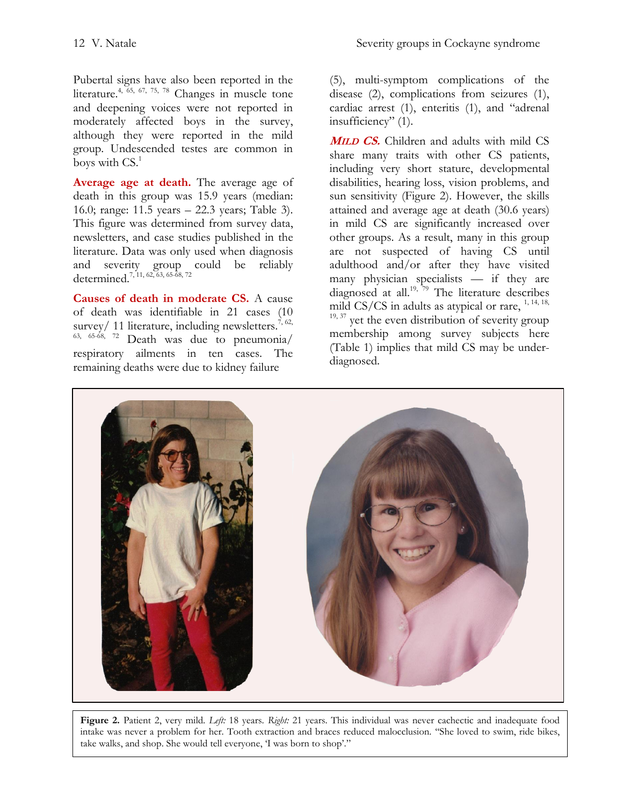Pubertal signs have also been reported in the literature.<sup>[4,](#page-19-8) [65,](#page-22-7) [67,](#page-22-13) [75,](#page-22-18) [78](#page-23-1)</sup> Changes in muscle tone and deepening voices were not reported in moderately affected boys in the survey, although they were reported in the mild group. Undescended testes are common in boys with CS[.](#page-19-0) 1

**Average age at death.** The average age of death in this group was 15.9 years (median: 16.0; range: 11.5 years – 22.3 years; Table 3). This figure was determined from survey data, newsletters, and case studies published in the literature. Data was only used when diagnosis and severity group could be reliably determined.<sup>[7,](#page-19-15) [11,](#page-19-2) [62,](#page-22-6) [63,](#page-22-8) [65-68,](#page-22-7) [72](#page-22-15)</sup>

**Causes of death in moderate CS.** A cause of death was identifiable in 21 cases (10 survey/ 11 literature, including newsletters.<sup>[7,](#page-19-15) 62,</sup>  $63, 65-68, 72$  $63, 65-68, 72$  $63, 65-68, 72$  Death was due to pneumonia/ respiratory ailments in ten cases. The remaining deaths were due to kidney failure

(5), multi-symptom complications of the disease (2), complications from seizures (1), cardiac arrest (1), enteritis (1), and "adrenal insufficiency" (1).

**<sup>M</sup>ILD CS.** Children and adults with mild CS share many traits with other CS patients, including very short stature, developmental disabilities, hearing loss, vision problems, and sun sensitivity (Figure 2). However, the skills attained and average age at death (30.6 years) in mild CS are significantly increased over other groups. As a result, many in this group are not suspected of having CS until adulthood and/or after they have visited many physician specialists — if they are diagnosed at all.<sup>[19,](#page-19-11) [79](#page-23-2)</sup> The literature describes mild CS/CS in adults as atypical or rare,  $1, 14, 18$  $1, 14, 18$  $1, 14, 18$ ,  $19, 37$  $19, 37$  yet the even distribution of severity group membership among survey subjects here (Table 1) implies that mild CS may be under-



diagnosed.

**Figure 2.** Patient 2, very mild. *Left:* 18 years. *Right:* 21 years. This individual was never cachectic and inadequate food intake was never a problem for her. Tooth extraction and braces reduced malocclusion. ''She loved to swim, ride bikes, take walks, and shop. She would tell everyone, 'I was born to shop'."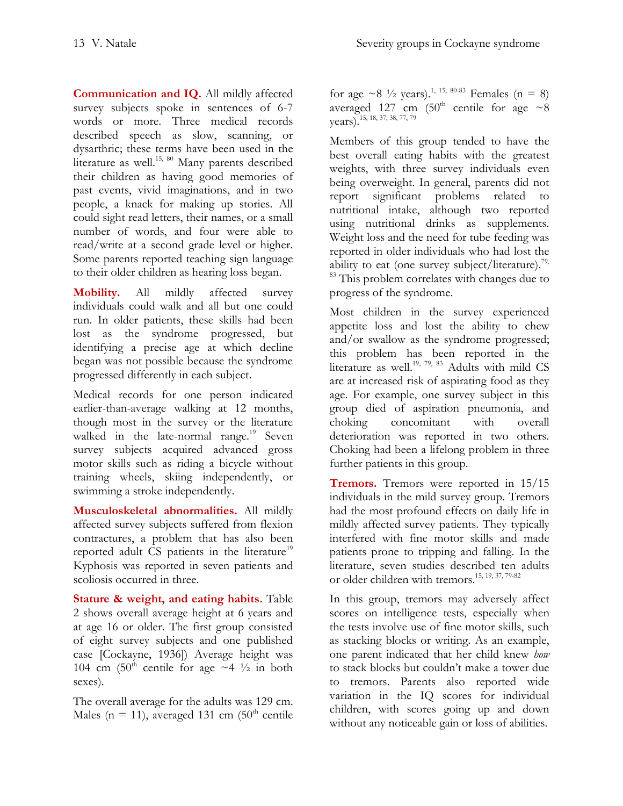**Communication and IQ.** All mildly affected survey subjects spoke in sentences of 6-7 words or more. Three medical records described speech as slow, scanning, or dysarthric; these terms have been used in the literature as well.<sup>[15,](#page-19-6) [80](#page-23-3)</sup> Many parents described their children as having good memories of past events, vivid imaginations, and in two people, a knack for making up stories. All could sight read letters, their names, or a small number of words, and four were able to read/write at a second grade level or higher. Some parents reported teaching sign language to their older children as hearing loss began.

**Mobility.** All mildly affected survey individuals could walk and all but one could run. In older patients, these skills had been lost as the syndrome progressed, but identifying a precise age at which decline began was not possible because the syndrome progressed differently in each subject.

Medical records for one person indicated earlier-than-average walking at 12 months, though most in the survey or the literature walked in the late-normal range.<sup>[19](#page-19-11)</sup> Seven survey subjects acquired advanced gross motor skills such as riding a bicycle without training wheels, skiing independently, or swimming a stroke independently.

**Musculoskeletal abnormalities.** All mildly affected survey subjects suffered from flexion contractures, a problem that has also been reported adult CS patients in the literature<sup>[19](#page-19-11)</sup> Kyphosis was reported in seven patients and scoliosis occurred in three.

**Stature & weight, and eating habits.** Table 2 shows overall average height at 6 years and at age 16 or older. The first group consisted of eight survey subjects and one published case [Cockayne, 1936]) Average height was 104 cm (50<sup>th</sup> centile for age  $\sim$  4  $\frac{1}{2}$  in both sexes).

The overall average for the adults was 129 cm. Males (n = 11), averaged 131 cm  $(50<sup>th</sup>$  centile

for age  $\sim$ 8 <sup>1</sup>/<sub>2</sub> years).<sup>[1,](#page-19-0) [15,](#page-19-6) [80-83](#page-23-3)</sup> Females (n = 8) averaged 127 cm (50<sup>th</sup> centile for age  $\sim 8$ years). [15,](#page-19-6) [18,](#page-19-10) [37,](#page-20-16) [38,](#page-20-17) [77,](#page-23-0) [79](#page-23-2)

Members of this group tended to have the best overall eating habits with the greatest weights, with three survey individuals even being overweight. In general, parents did not report significant problems related to nutritional intake, although two reported using nutritional drinks as supplements. Weight loss and the need for tube feeding was reported in older individuals who had lost the ability to eat (one survey subject/literature).<sup>79,</sup> <sup>[83](#page-23-4)</sup> This problem correlates with changes due to progress of the syndrome.

Most children in the survey experienced appetite loss and lost the ability to chew and/or swallow as the syndrome progressed; this problem has been reported in the literature as well.<sup>[19,](#page-19-11) [79,](#page-23-2) [83](#page-23-4)</sup> Adults with mild CS are at increased risk of aspirating food as they age. For example, one survey subject in this group died of aspiration pneumonia, and choking concomitant with overall deterioration was reported in two others. Choking had been a lifelong problem in three further patients in this group.

**Tremors.** Tremors were reported in 15/15 individuals in the mild survey group. Tremors had the most profound effects on daily life in mildly affected survey patients. They typically interfered with fine motor skills and made patients prone to tripping and falling. In the literature, seven studies described ten adults or older children with tremors. [15,](#page-19-6) [19,](#page-19-11) [37,](#page-20-16) [79-82](#page-23-2)

In this group, tremors may adversely affect scores on intelligence tests, especially when the tests involve use of fine motor skills, such as stacking blocks or writing. As an example, one parent indicated that her child knew *how* to stack blocks but couldn't make a tower due to tremors. Parents also reported wide variation in the IQ scores for individual children, with scores going up and down without any noticeable gain or loss of abilities.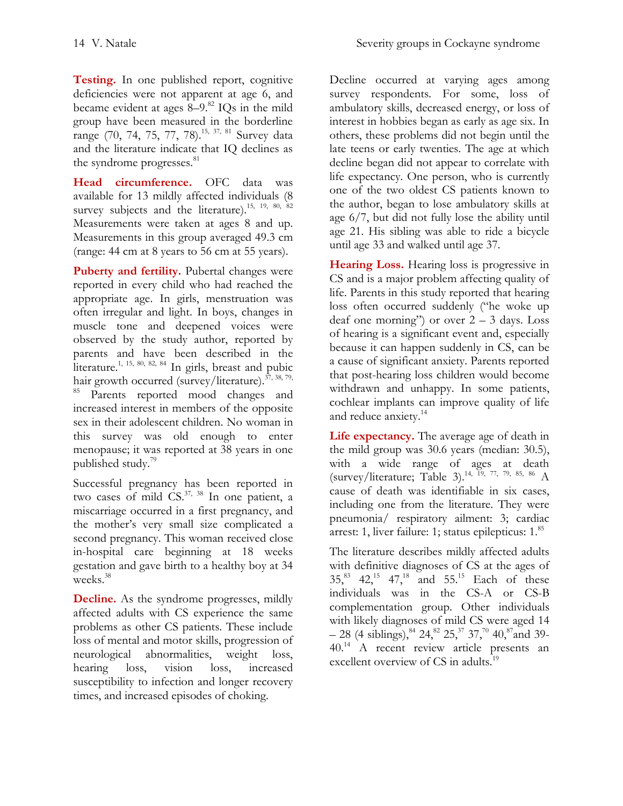**Testing.** In one published report, cognitive deficiencies were not apparent at age 6, and became evident at ages 8–9. [82](#page-23-5) IQs in the mild group have been measured in the borderline range (70, 74, 75, 77, 78).<sup>[15,](#page-19-6) [37,](#page-20-16) [81](#page-23-6)</sup> Survey data and the literature indicate that IQ declines as the syndrome progresses.<sup>[81](#page-23-6)</sup>

**Head circumference.** OFC data was available for 13 mildly affected individuals (8 survey subjects and the literature).<sup>[15,](#page-19-6) [19,](#page-19-11) [80,](#page-23-3) [82](#page-23-5)</sup> Measurements were taken at ages 8 and up. Measurements in this group averaged 49.3 cm (range: 44 cm at 8 years to 56 cm at 55 years).

**Puberty and fertility.** Pubertal changes were reported in every child who had reached the appropriate age. In girls, menstruation was often irregular and light. In boys, changes in muscle tone and deepened voices were observed by the study author, reported by parents and have been described in the literature.<sup>[1,](#page-19-0) [15,](#page-19-6) [80,](#page-23-3) [82,](#page-23-5) [84](#page-23-7)</sup> In girls, breast and pubic hair growth occurred (survey/literature).<sup>[37,](#page-20-16) [38,](#page-20-17) 79,</sup> <sup>[85](#page-23-8)</sup> Parents reported mood changes and increased interest in members of the opposite sex in their adolescent children. No woman in this survey was old enough to enter menopause; it was reported at 38 years in one published study. [79](#page-23-2)

Successful pregnancy has been reported in two cases of mild  $CS$ .<sup>[37,](#page-20-16) [38](#page-20-17)</sup> In one patient, a miscarriage occurred in a first pregnancy, and the mother's very small size complicated a second pregnancy. This woman received close in-hospital care beginning at 18 weeks gestation and gave birth to a healthy boy at 34 weeks. [38](#page-20-17)

**Decline.** As the syndrome progresses, mildly affected adults with CS experience the same problems as other CS patients. These include loss of mental and motor skills, progression of neurological abnormalities, weight loss, hearing loss, vision loss, increased susceptibility to infection and longer recovery times, and increased episodes of choking.

Decline occurred at varying ages among survey respondents. For some, loss of ambulatory skills, decreased energy, or loss of interest in hobbies began as early as age six. In others, these problems did not begin until the late teens or early twenties. The age at which decline began did not appear to correlate with life expectancy. One person, who is currently one of the two oldest CS patients known to the author, began to lose ambulatory skills at age 6/7, but did not fully lose the ability until age 21. His sibling was able to ride a bicycle until age 33 and walked until age 37.

**Hearing Loss.** Hearing loss is progressive in CS and is a major problem affecting quality of life. Parents in this study reported that hearing loss often occurred suddenly ("he woke up deaf one morning") or over  $2 - 3$  days. Loss of hearing is a significant event and, especially because it can happen suddenly in CS, can be a cause of significant anxiety. Parents reported that post-hearing loss children would become withdrawn and unhappy. In some patients, cochlear implants can improve quality of life and reduce anxiety.<sup>[14](#page-19-5)</sup>

**Life expectancy.** The average age of death in the mild group was 30.6 years (median: 30.5), with a wide range of ages at death (survey/literature; Table 3). [14,](#page-19-5) [19,](#page-19-11) [77,](#page-23-0) [79,](#page-23-2) [85,](#page-23-8) [86](#page-23-9) A cause of death was identifiable in six cases, including one from the literature. They were pneumonia/ respiratory ailment: 3; cardiac arrest: 1, liver failure: 1; status epilepticus: 1. [85](#page-23-8)

The literature describes mildly affected adults with definitive diagnoses of CS at the ages of  $35^{83}$  $35^{83}$  $35^{83}$   $42^{15}$  $42^{15}$  $42^{15}$   $47^{18}$  $47^{18}$  $47^{18}$  and  $55^{15}$  Each of these individuals was in the CS-A or CS-B complementation group. Other individuals with likely diagnoses of mild CS were aged 14  $-$  28 (4 siblings),  $84$  24,  $82$  25,  $37$  37,  $70$  40,  $87$  and 39-40.<sup>[14](#page-19-5)</sup> A recent review article presents an excellent overview of CS in adults.<sup>[19](#page-19-11)</sup>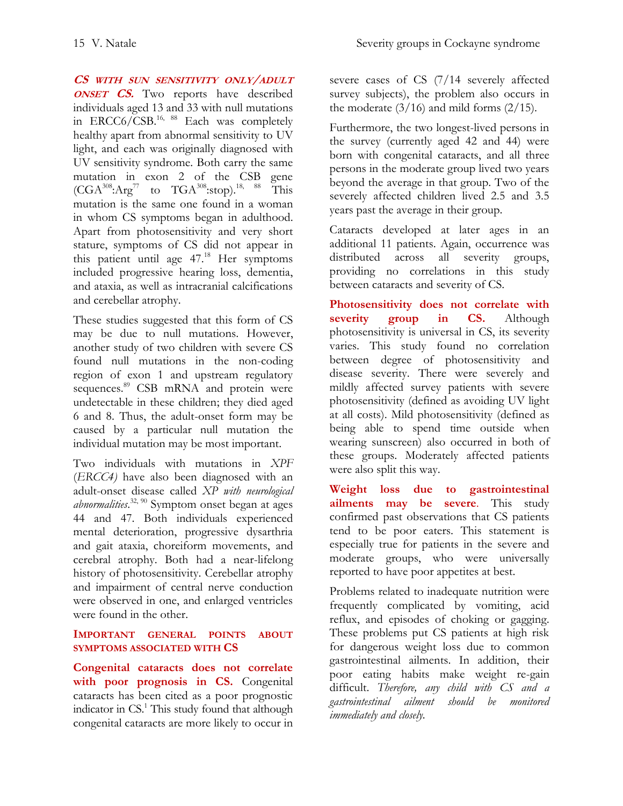**CS WITH SUN SENSITIVITY ONLY/ADULT ONSET CS.** Two reports have described individuals aged 13 and 33 with null mutations in  $\text{ERC}C6/\text{CSB}.^{16, 88}$  $\text{ERC}C6/\text{CSB}.^{16, 88}$  $\text{ERC}C6/\text{CSB}.^{16, 88}$  $\text{ERC}C6/\text{CSB}.^{16, 88}$  Each was completely healthy apart from abnormal sensitivity to UV light, and each was originally diagnosed with UV sensitivity syndrome. Both carry the same mutation in exon 2 of the CSB gene  $(CGA^{308}:\text{Arg}^{77}$  to  $TGA^{308}:\text{stop})$ <sup>[18,](#page-19-10) [88](#page-23-11)</sup> This mutation is the same one found in a woman in whom CS symptoms began in adulthood. Apart from photosensitivity and very short stature, symptoms of CS did not appear in this patient until age 47. [18](#page-19-10) Her symptoms included progressive hearing loss, dementia, and ataxia, as well as intracranial calcifications and cerebellar atrophy.

These studies suggested that this form of CS may be due to null mutations. However, another study of two children with severe CS found null mutations in the non-coding region of exon 1 and upstream regulatory sequences.<sup>[89](#page-23-12)</sup> CSB mRNA and protein were undetectable in these children; they died aged 6 and 8. Thus, the adult-onset form may be caused by a particular null mutation the individual mutation may be most important.

Two individuals with mutations in *XPF* (*ERCC4)* have also been diagnosed with an adult-onset disease called *XP with neurological abnormalities*. [32,](#page-20-11) [90](#page-23-13) Symptom onset began at ages 44 and 47. Both individuals experienced mental deterioration, progressive dysarthria and gait ataxia, choreiform movements, and cerebral atrophy. Both had a near-lifelong history of photosensitivity. Cerebellar atrophy and impairment of central nerve conduction were observed in one, and enlarged ventricles were found in the other.

## **IMPORTANT GENERAL POINTS ABOUT SYMPTOMS ASSOCIATED WITH CS**

**Congenital cataracts does not correlate with poor prognosis in CS.** Congenital cataracts has been cited as a poor prognostic indicator in C[S.](#page-19-0)<sup>1</sup> This study found that although congenital cataracts are more likely to occur in

severe cases of CS (7/14 severely affected survey subjects), the problem also occurs in the moderate  $(3/16)$  and mild forms  $(2/15)$ .

Furthermore, the two longest-lived persons in the survey (currently aged 42 and 44) were born with congenital cataracts, and all three persons in the moderate group lived two years beyond the average in that group. Two of the severely affected children lived 2.5 and 3.5 years past the average in their group.

Cataracts developed at later ages in an additional 11 patients. Again, occurrence was distributed across all severity groups, providing no correlations in this study between cataracts and severity of CS.

**Photosensitivity does not correlate with severity group in CS.** Although photosensitivity is universal in CS, its severity varies. This study found no correlation between degree of photosensitivity and disease severity. There were severely and mildly affected survey patients with severe photosensitivity (defined as avoiding UV light at all costs). Mild photosensitivity (defined as being able to spend time outside when wearing sunscreen) also occurred in both of these groups. Moderately affected patients were also split this way.

**Weight loss due to gastrointestinal ailments may be severe**. This study confirmed past observations that CS patients tend to be poor eaters. This statement is especially true for patients in the severe and moderate groups, who were universally reported to have poor appetites at best.

Problems related to inadequate nutrition were frequently complicated by vomiting, acid reflux, and episodes of choking or gagging. These problems put CS patients at high risk for dangerous weight loss due to common gastrointestinal ailments. In addition, their poor eating habits make weight re-gain difficult. *Therefore, any child with CS and a gastrointestinal ailment should be monitored immediately and closely.*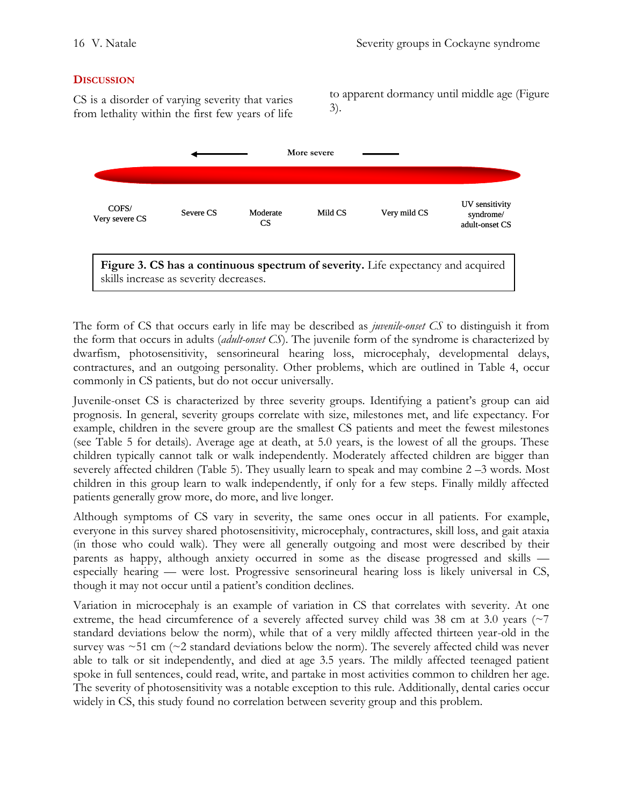### **DISCUSSION**

CS is a disorder of varying severity that varies from lethality within the first few years of life to apparent dormancy until middle age (Figure 3).



The form of CS that occurs early in life may be described as *juvenile-onset CS* to distinguish it from the form that occurs in adults (*adult-onset CS*). The juvenile form of the syndrome is characterized by dwarfism, photosensitivity, sensorineural hearing loss, microcephaly, developmental delays, contractures, and an outgoing personality. Other problems, which are outlined in Table 4, occur commonly in CS patients, but do not occur universally.

Juvenile-onset CS is characterized by three severity groups. Identifying a patient's group can aid prognosis. In general, severity groups correlate with size, milestones met, and life expectancy. For example, children in the severe group are the smallest CS patients and meet the fewest milestones (see Table 5 for details). Average age at death, at 5.0 years, is the lowest of all the groups. These children typically cannot talk or walk independently. Moderately affected children are bigger than severely affected children (Table 5). They usually learn to speak and may combine 2 –3 words. Most children in this group learn to walk independently, if only for a few steps. Finally mildly affected patients generally grow more, do more, and live longer.

Although symptoms of CS vary in severity, the same ones occur in all patients. For example, everyone in this survey shared photosensitivity, microcephaly, contractures, skill loss, and gait ataxia (in those who could walk). They were all generally outgoing and most were described by their parents as happy, although anxiety occurred in some as the disease progressed and skills especially hearing — were lost. Progressive sensorineural hearing loss is likely universal in CS, though it may not occur until a patient's condition declines.

Variation in microcephaly is an example of variation in CS that correlates with severity. At one extreme, the head circumference of a severely affected survey child was 38 cm at 3.0 years ( $\sim$ 7) standard deviations below the norm), while that of a very mildly affected thirteen year-old in the survey was  $\sim$ 51 cm ( $\sim$ 2 standard deviations below the norm). The severely affected child was never able to talk or sit independently, and died at age 3.5 years. The mildly affected teenaged patient spoke in full sentences, could read, write, and partake in most activities common to children her age. The severity of photosensitivity was a notable exception to this rule. Additionally, dental caries occur widely in CS, this study found no correlation between severity group and this problem.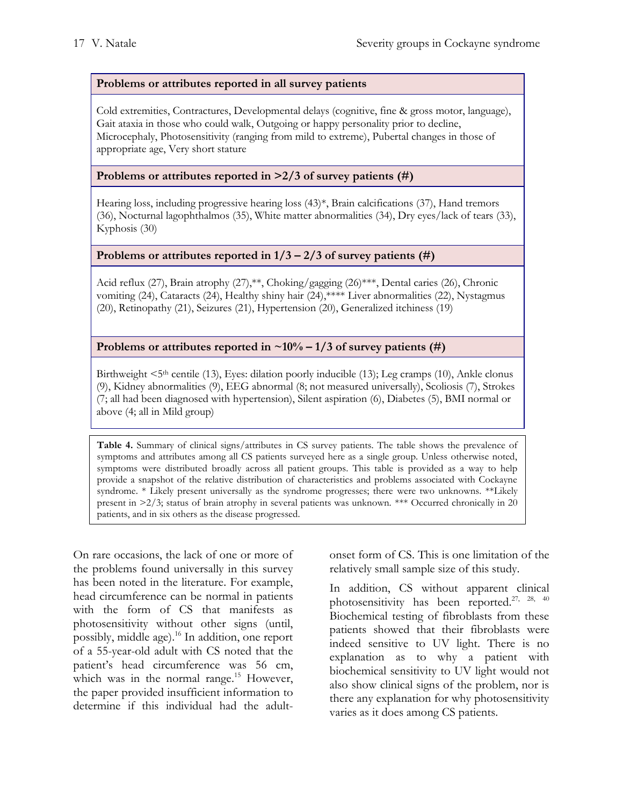### **Problems or attributes reported in all survey patients**

Cold extremities, Contractures, Developmental delays (cognitive, fine & gross motor, language), Gait ataxia in those who could walk, Outgoing or happy personality prior to decline, Microcephaly, Photosensitivity (ranging from mild to extreme), Pubertal changes in those of appropriate age, Very short stature

#### **Problems or attributes reported in >2/3 of survey patients (#)**

Hearing loss, including progressive hearing loss (43)\*, Brain calcifications (37), Hand tremors (36), Nocturnal lagophthalmos (35), White matter abnormalities (34), Dry eyes/lack of tears (33), Kyphosis (30)

### **Problems or attributes reported in**  $1/3 - 2/3$  **of survey patients (#)**

Acid reflux (27), Brain atrophy (27),\*\*, Choking/gagging (26)\*\*\*, Dental caries (26), Chronic vomiting (24), Cataracts (24), Healthy shiny hair (24),\*\*\*\* Liver abnormalities (22), Nystagmus (20), Retinopathy (21), Seizures (21), Hypertension (20), Generalized itchiness (19)

#### **Problems or attributes reported in**  $\sim 10\% - 1/3$  **of survey patients (#)**

Birthweight  $\leq 5$ <sup>th</sup> centile (13), Eyes: dilation poorly inducible (13); Leg cramps (10), Ankle clonus (9), Kidney abnormalities (9), EEG abnormal (8; not measured universally), Scoliosis (7), Strokes (7; all had been diagnosed with hypertension), Silent aspiration (6), Diabetes (5), BMI normal or above (4; all in Mild group)

**Table 4.** Summary of clinical signs/attributes in CS survey patients. The table shows the prevalence of symptoms and attributes among all CS patients surveyed here as a single group. Unless otherwise noted, symptoms were distributed broadly across all patient groups. This table is provided as a way to help provide a snapshot of the relative distribution of characteristics and problems associated with Cockayne syndrome. \* Likely present universally as the syndrome progresses; there were two unknowns. \*\*Likely present in >2/3; status of brain atrophy in several patients was unknown. \*\*\* Occurred chronically in 20 patients, and in six others as the disease progressed.

On rare occasions, the lack of one or more of the problems found universally in this survey has been noted in the literature. For example, head circumference can be normal in patients with the form of CS that manifests as photosensitivity without other signs (until, possibly, middle age). [16](#page-19-7) In addition, one report of a 55-year-old adult with CS noted that the patient's head circumference was 56 cm, which was in the normal range.<sup>[15](#page-19-6)</sup> However, the paper provided insufficient information to determine if this individual had the adultonset form of CS. This is one limitation of the relatively small sample size of this study.

In addition, CS without apparent clinical photosensitivity has been reported.<sup>[27,](#page-20-6) [28,](#page-20-7) [40](#page-21-0)</sup> Biochemical testing of fibroblasts from these patients showed that their fibroblasts were indeed sensitive to UV light. There is no explanation as to why a patient with biochemical sensitivity to UV light would not also show clinical signs of the problem, nor is there any explanation for why photosensitivity varies as it does among CS patients.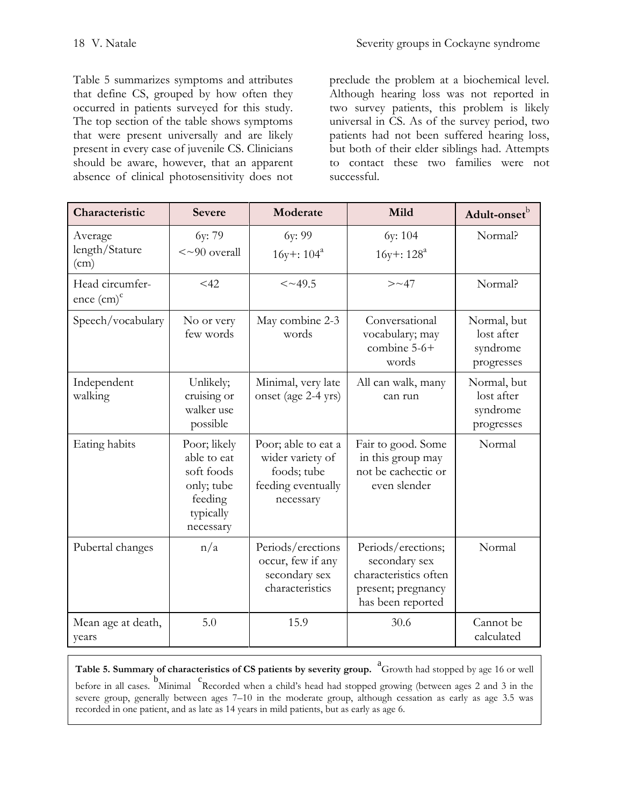Table 5 summarizes symptoms and attributes that define CS, grouped by how often they occurred in patients surveyed for this study. The top section of the table shows symptoms that were present universally and are likely present in every case of juvenile CS. Clinicians should be aware, however, that an apparent absence of clinical photosensitivity does not

preclude the problem at a biochemical level. Although hearing loss was not reported in two survey patients, this problem is likely universal in CS. As of the survey period, two patients had not been suffered hearing loss, but both of their elder siblings had. Attempts to contact these two families were not successful.

| Characteristic                            | <b>Severe</b>                                                                                | Moderate                                                                                  | Mild                                                                                                    | Adult-onset <sup>b</sup>                            |
|-------------------------------------------|----------------------------------------------------------------------------------------------|-------------------------------------------------------------------------------------------|---------------------------------------------------------------------------------------------------------|-----------------------------------------------------|
| Average<br>length/Stature<br>(cm)         | 6y: 79<br>$\langle \sim 90$ overall                                                          | 6y: 99<br>$16y$ +: $104^a$                                                                | 6y: 104<br>$16y$ +: $128^a$                                                                             | Normal?                                             |
| Head circumfer-<br>ence (cm) <sup>c</sup> | $<$ 42                                                                                       | $<$ ~49.5                                                                                 | $>\sim$ 47                                                                                              | Normal?                                             |
| Speech/vocabulary                         | No or very<br>few words                                                                      | May combine 2-3<br>words                                                                  | Conversational<br>vocabulary; may<br>combine $5-6+$<br>words                                            | Normal, but<br>lost after<br>syndrome<br>progresses |
| Independent<br>walking                    | Unlikely;<br>cruising or<br>walker use<br>possible                                           | Minimal, very late<br>onset (age 2-4 yrs)                                                 | All can walk, many<br>can run                                                                           | Normal, but<br>lost after<br>syndrome<br>progresses |
| Eating habits                             | Poor; likely<br>able to eat<br>soft foods<br>only; tube<br>feeding<br>typically<br>necessary | Poor; able to eat a<br>wider variety of<br>foods; tube<br>feeding eventually<br>necessary | Fair to good. Some<br>in this group may<br>not be cachectic or<br>even slender                          | Normal                                              |
| Pubertal changes                          | n/a                                                                                          | Periods/erections<br>occur, few if any<br>secondary sex<br>characteristics                | Periods/erections;<br>secondary sex<br>characteristics often<br>present; pregnancy<br>has been reported | Normal                                              |
| Mean age at death,<br>years               | 5.0                                                                                          | 15.9                                                                                      | 30.6                                                                                                    | Cannot be<br>calculated                             |

**Table 5. Summary of characteristics of CS patients by severity group.** a Growth had stopped by age 16 or well

before in all cases. <sup>b</sup>Minimal <sup>c</sup>Recorded when a child's head had stopped growing (between ages 2 and 3 in the severe group, generally between ages 7–10 in the moderate group, although cessation as early as age 3.5 was recorded in one patient, and as late as 14 years in mild patients, but as early as age 6.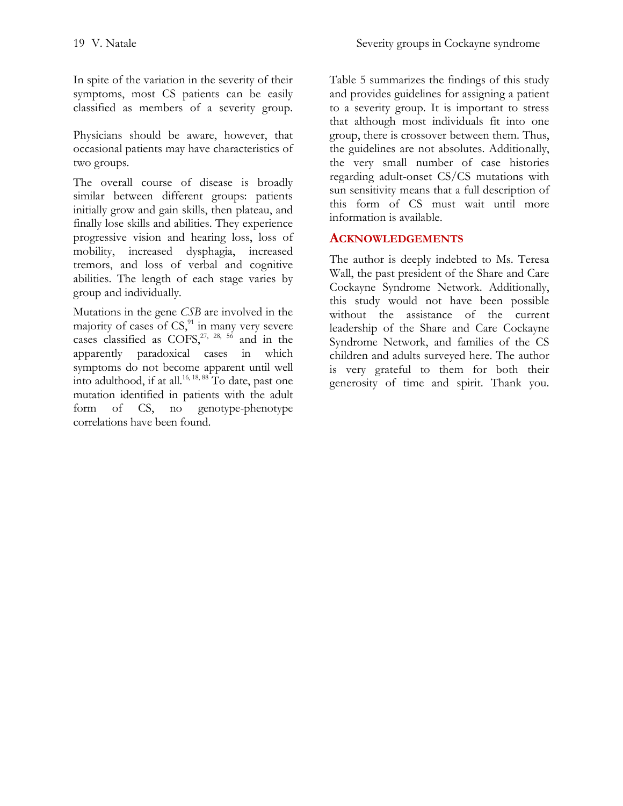In spite of the variation in the severity of their symptoms, most CS patients can be easily classified as members of a severity group.

Physicians should be aware, however, that occasional patients may have characteristics of two groups.

The overall course of disease is broadly similar between different groups: patients initially grow and gain skills, then plateau, and finally lose skills and abilities. They experience progressive vision and hearing loss, loss of mobility, increased dysphagia, increased tremors, and loss of verbal and cognitive abilities. The length of each stage varies by group and individually.

Mutations in the gene *CSB* are involved in the majority of cases of  $CS<sub>1</sub><sup>91</sup>$  $CS<sub>1</sub><sup>91</sup>$  $CS<sub>1</sub><sup>91</sup>$  in many very severe cases classified as  $COFS$ ,<sup>[27,](#page-20-6) [28,](#page-20-7) [56](#page-22-0)</sup> and in the apparently paradoxical cases in which symptoms do not become apparent until well into adulthood, if at all.<sup>[16,](#page-19-7) [18,](#page-19-10) [88](#page-23-11)</sup> To date, past one mutation identified in patients with the adult form of CS, no genotype-phenotype correlations have been found.

Table 5 summarizes the findings of this study and provides guidelines for assigning a patient to a severity group. It is important to stress that although most individuals fit into one group, there is crossover between them. Thus, the guidelines are not absolutes. Additionally, the very small number of case histories regarding adult-onset CS/CS mutations with sun sensitivity means that a full description of this form of CS must wait until more information is available.

# **ACKNOWLEDGEMENTS**

The author is deeply indebted to Ms. Teresa Wall, the past president of the Share and Care Cockayne Syndrome Network. Additionally, this study would not have been possible without the assistance of the current leadership of the Share and Care Cockayne Syndrome Network, and families of the CS children and adults surveyed here. The author is very grateful to them for both their generosity of time and spirit. Thank you.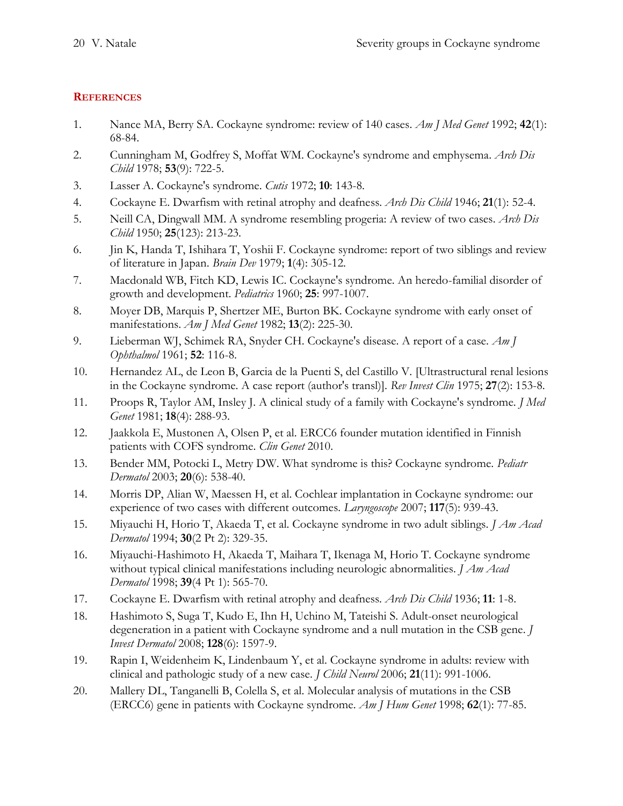## **REFERENCES**

- <span id="page-19-0"></span>1. Nance MA, Berry SA. Cockayne syndrome: review of 140 cases. *Am J Med Genet* 1992; **42**(1): 68-84.
- <span id="page-19-1"></span>2. Cunningham M, Godfrey S, Moffat WM. Cockayne's syndrome and emphysema. *Arch Dis Child* 1978; **53**(9): 722-5.
- 3. Lasser A. Cockayne's syndrome. *Cutis* 1972; **10**: 143-8.
- <span id="page-19-8"></span>4. Cockayne E. Dwarfism with retinal atrophy and deafness. *Arch Dis Child* 1946; **21**(1): 52-4.
- <span id="page-19-14"></span>5. Neill CA, Dingwall MM. A syndrome resembling progeria: A review of two cases. *Arch Dis Child* 1950; **25**(123): 213-23.
- <span id="page-19-17"></span>6. Jin K, Handa T, Ishihara T, Yoshii F. Cockayne syndrome: report of two siblings and review of literature in Japan. *Brain Dev* 1979; **1**(4): 305-12.
- <span id="page-19-15"></span>7. Macdonald WB, Fitch KD, Lewis IC. Cockayne's syndrome. An heredo-familial disorder of growth and development. *Pediatrics* 1960; **25**: 997-1007.
- <span id="page-19-13"></span>8. Moyer DB, Marquis P, Shertzer ME, Burton BK. Cockayne syndrome with early onset of manifestations. *Am J Med Genet* 1982; **13**(2): 225-30.
- <span id="page-19-16"></span>9. Lieberman WJ, Schimek RA, Snyder CH. Cockayne's disease. A report of a case. *Am J Ophthalmol* 1961; **52**: 116-8.
- <span id="page-19-18"></span>10. Hernandez AL, de Leon B, Garcia de la Puenti S, del Castillo V. [Ultrastructural renal lesions in the Cockayne syndrome. A case report (author's transl)]. *Rev Invest Clin* 1975; **27**(2): 153-8.
- <span id="page-19-2"></span>11. Proops R, Taylor AM, Insley J. A clinical study of a family with Cockayne's syndrome. *J Med Genet* 1981; **18**(4): 288-93.
- <span id="page-19-3"></span>12. Jaakkola E, Mustonen A, Olsen P, et al. ERCC6 founder mutation identified in Finnish patients with COFS syndrome. *Clin Genet* 2010.
- <span id="page-19-4"></span>13. Bender MM, Potocki L, Metry DW. What syndrome is this? Cockayne syndrome. *Pediatr Dermatol* 2003; **20**(6): 538-40.
- <span id="page-19-5"></span>14. Morris DP, Alian W, Maessen H, et al. Cochlear implantation in Cockayne syndrome: our experience of two cases with different outcomes. *Laryngoscope* 2007; **117**(5): 939-43.
- <span id="page-19-6"></span>15. Miyauchi H, Horio T, Akaeda T, et al. Cockayne syndrome in two adult siblings. *J Am Acad Dermatol* 1994; **30**(2 Pt 2): 329-35.
- <span id="page-19-7"></span>16. Miyauchi-Hashimoto H, Akaeda T, Maihara T, Ikenaga M, Horio T. Cockayne syndrome without typical clinical manifestations including neurologic abnormalities. *J Am Acad Dermatol* 1998; **39**(4 Pt 1): 565-70.
- <span id="page-19-9"></span>17. Cockayne E. Dwarfism with retinal atrophy and deafness. *Arch Dis Child* 1936; **11**: 1-8.
- <span id="page-19-10"></span>18. Hashimoto S, Suga T, Kudo E, Ihn H, Uchino M, Tateishi S. Adult-onset neurological degeneration in a patient with Cockayne syndrome and a null mutation in the CSB gene. *J Invest Dermatol* 2008; **128**(6): 1597-9.
- <span id="page-19-11"></span>19. Rapin I, Weidenheim K, Lindenbaum Y, et al. Cockayne syndrome in adults: review with clinical and pathologic study of a new case. *J Child Neurol* 2006; **21**(11): 991-1006.
- <span id="page-19-12"></span>20. Mallery DL, Tanganelli B, Colella S, et al. Molecular analysis of mutations in the CSB (ERCC6) gene in patients with Cockayne syndrome. *Am J Hum Genet* 1998; **62**(1): 77-85.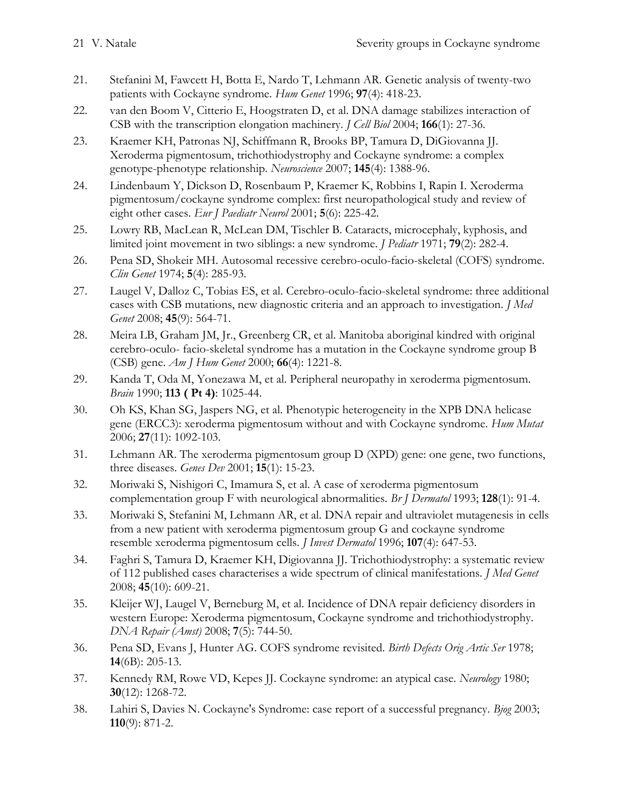- <span id="page-20-0"></span>21. Stefanini M, Fawcett H, Botta E, Nardo T, Lehmann AR. Genetic analysis of twenty-two patients with Cockayne syndrome. *Hum Genet* 1996; **97**(4): 418-23.
- <span id="page-20-1"></span>22. van den Boom V, Citterio E, Hoogstraten D, et al. DNA damage stabilizes interaction of CSB with the transcription elongation machinery. *J Cell Biol* 2004; **166**(1): 27-36.
- <span id="page-20-2"></span>23. Kraemer KH, Patronas NJ, Schiffmann R, Brooks BP, Tamura D, DiGiovanna JJ. Xeroderma pigmentosum, trichothiodystrophy and Cockayne syndrome: a complex genotype-phenotype relationship. *Neuroscience* 2007; **145**(4): 1388-96.
- <span id="page-20-3"></span>24. Lindenbaum Y, Dickson D, Rosenbaum P, Kraemer K, Robbins I, Rapin I. Xeroderma pigmentosum/cockayne syndrome complex: first neuropathological study and review of eight other cases. *Eur J Paediatr Neurol* 2001; **5**(6): 225-42.
- <span id="page-20-4"></span>25. Lowry RB, MacLean R, McLean DM, Tischler B. Cataracts, microcephaly, kyphosis, and limited joint movement in two siblings: a new syndrome. *J Pediatr* 1971; **79**(2): 282-4.
- <span id="page-20-5"></span>26. Pena SD, Shokeir MH. Autosomal recessive cerebro-oculo-facio-skeletal (COFS) syndrome. *Clin Genet* 1974; **5**(4): 285-93.
- <span id="page-20-6"></span>27. Laugel V, Dalloz C, Tobias ES, et al. Cerebro-oculo-facio-skeletal syndrome: three additional cases with CSB mutations, new diagnostic criteria and an approach to investigation. *J Med Genet* 2008; **45**(9): 564-71.
- <span id="page-20-7"></span>28. Meira LB, Graham JM, Jr., Greenberg CR, et al. Manitoba aboriginal kindred with original cerebro-oculo- facio-skeletal syndrome has a mutation in the Cockayne syndrome group B (CSB) gene. *Am J Hum Genet* 2000; **66**(4): 1221-8.
- <span id="page-20-8"></span>29. Kanda T, Oda M, Yonezawa M, et al. Peripheral neuropathy in xeroderma pigmentosum. *Brain* 1990; **113 ( Pt 4)**: 1025-44.
- <span id="page-20-9"></span>30. Oh KS, Khan SG, Jaspers NG, et al. Phenotypic heterogeneity in the XPB DNA helicase gene (ERCC3): xeroderma pigmentosum without and with Cockayne syndrome. *Hum Mutat* 2006; **27**(11): 1092-103.
- <span id="page-20-10"></span>31. Lehmann AR. The xeroderma pigmentosum group D (XPD) gene: one gene, two functions, three diseases. *Genes Dev* 2001; **15**(1): 15-23.
- <span id="page-20-11"></span>32. Moriwaki S, Nishigori C, Imamura S, et al. A case of xeroderma pigmentosum complementation group F with neurological abnormalities. *Br J Dermatol* 1993; **128**(1): 91-4.
- <span id="page-20-12"></span>33. Moriwaki S, Stefanini M, Lehmann AR, et al. DNA repair and ultraviolet mutagenesis in cells from a new patient with xeroderma pigmentosum group G and cockayne syndrome resemble xeroderma pigmentosum cells. *J Invest Dermatol* 1996; **107**(4): 647-53.
- <span id="page-20-13"></span>34. Faghri S, Tamura D, Kraemer KH, Digiovanna JJ. Trichothiodystrophy: a systematic review of 112 published cases characterises a wide spectrum of clinical manifestations. *J Med Genet* 2008; **45**(10): 609-21.
- <span id="page-20-14"></span>35. Kleijer WJ, Laugel V, Berneburg M, et al. Incidence of DNA repair deficiency disorders in western Europe: Xeroderma pigmentosum, Cockayne syndrome and trichothiodystrophy. *DNA Repair (Amst)* 2008; **7**(5): 744-50.
- <span id="page-20-15"></span>36. Pena SD, Evans J, Hunter AG. COFS syndrome revisited. *Birth Defects Orig Artic Ser* 1978; **14**(6B): 205-13.
- <span id="page-20-16"></span>37. Kennedy RM, Rowe VD, Kepes JJ. Cockayne syndrome: an atypical case. *Neurology* 1980; **30**(12): 1268-72.
- <span id="page-20-17"></span>38. Lahiri S, Davies N. Cockayne's Syndrome: case report of a successful pregnancy. *Bjog* 2003; **110**(9): 871-2.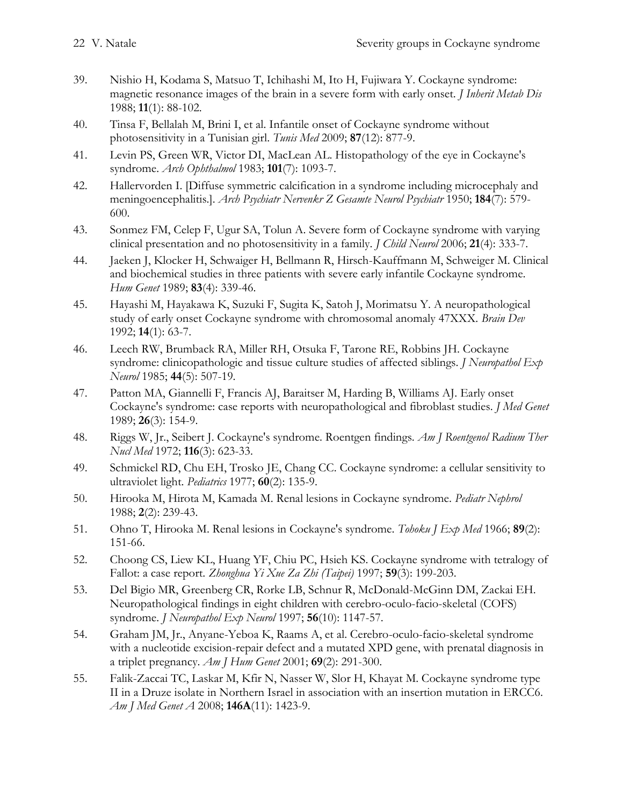- <span id="page-21-2"></span>39. Nishio H, Kodama S, Matsuo T, Ichihashi M, Ito H, Fujiwara Y. Cockayne syndrome: magnetic resonance images of the brain in a severe form with early onset. *J Inherit Metab Dis* 1988; **11**(1): 88-102.
- <span id="page-21-0"></span>40. Tinsa F, Bellalah M, Brini I, et al. Infantile onset of Cockayne syndrome without photosensitivity in a Tunisian girl. *Tunis Med* 2009; **87**(12): 877-9.
- <span id="page-21-1"></span>41. Levin PS, Green WR, Victor DI, MacLean AL. Histopathology of the eye in Cockayne's syndrome. *Arch Ophthalmol* 1983; **101**(7): 1093-7.
- <span id="page-21-4"></span>42. Hallervorden I. [Diffuse symmetric calcification in a syndrome including microcephaly and meningoencephalitis.]. *Arch Psychiatr Nervenkr Z Gesamte Neurol Psychiatr* 1950; **184**(7): 579- 600.
- 43. Sonmez FM, Celep F, Ugur SA, Tolun A. Severe form of Cockayne syndrome with varying clinical presentation and no photosensitivity in a family. *J Child Neurol* 2006; **21**(4): 333-7.
- <span id="page-21-5"></span>44. Jaeken J, Klocker H, Schwaiger H, Bellmann R, Hirsch-Kauffmann M, Schweiger M. Clinical and biochemical studies in three patients with severe early infantile Cockayne syndrome. *Hum Genet* 1989; **83**(4): 339-46.
- <span id="page-21-3"></span>45. Hayashi M, Hayakawa K, Suzuki F, Sugita K, Satoh J, Morimatsu Y. A neuropathological study of early onset Cockayne syndrome with chromosomal anomaly 47XXX. *Brain Dev* 1992; **14**(1): 63-7.
- <span id="page-21-7"></span>46. Leech RW, Brumback RA, Miller RH, Otsuka F, Tarone RE, Robbins JH. Cockayne syndrome: clinicopathologic and tissue culture studies of affected siblings. *J Neuropathol Exp Neurol* 1985; **44**(5): 507-19.
- <span id="page-21-10"></span>47. Patton MA, Giannelli F, Francis AJ, Baraitser M, Harding B, Williams AJ. Early onset Cockayne's syndrome: case reports with neuropathological and fibroblast studies. *J Med Genet* 1989; **26**(3): 154-9.
- <span id="page-21-12"></span>48. Riggs W, Jr., Seibert J. Cockayne's syndrome. Roentgen findings. *Am J Roentgenol Radium Ther Nucl Med* 1972; **116**(3): 623-33.
- <span id="page-21-6"></span>49. Schmickel RD, Chu EH, Trosko JE, Chang CC. Cockayne syndrome: a cellular sensitivity to ultraviolet light. *Pediatrics* 1977; **60**(2): 135-9.
- <span id="page-21-8"></span>50. Hirooka M, Hirota M, Kamada M. Renal lesions in Cockayne syndrome. *Pediatr Nephrol* 1988; **2**(2): 239-43.
- 51. Ohno T, Hirooka M. Renal lesions in Cockayne's syndrome. *Tohoku J Exp Med* 1966; **89**(2): 151-66.
- <span id="page-21-9"></span>52. Choong CS, Liew KL, Huang YF, Chiu PC, Hsieh KS. Cockayne syndrome with tetralogy of Fallot: a case report. *Zhonghua Yi Xue Za Zhi (Taipei)* 1997; **59**(3): 199-203.
- <span id="page-21-11"></span>53. Del Bigio MR, Greenberg CR, Rorke LB, Schnur R, McDonald-McGinn DM, Zackai EH. Neuropathological findings in eight children with cerebro-oculo-facio-skeletal (COFS) syndrome. *J Neuropathol Exp Neurol* 1997; **56**(10): 1147-57.
- <span id="page-21-13"></span>54. Graham JM, Jr., Anyane-Yeboa K, Raams A, et al. Cerebro-oculo-facio-skeletal syndrome with a nucleotide excision-repair defect and a mutated XPD gene, with prenatal diagnosis in a triplet pregnancy. *Am J Hum Genet* 2001; **69**(2): 291-300.
- <span id="page-21-14"></span>55. Falik-Zaccai TC, Laskar M, Kfir N, Nasser W, Slor H, Khayat M. Cockayne syndrome type II in a Druze isolate in Northern Israel in association with an insertion mutation in ERCC6. *Am J Med Genet A* 2008; **146A**(11): 1423-9.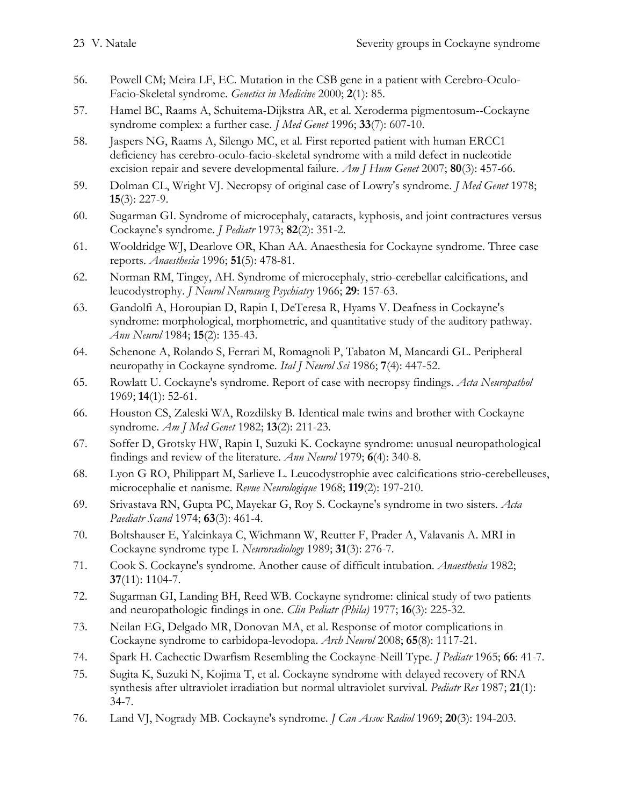- <span id="page-22-0"></span>56. Powell CM; Meira LF, EC. Mutation in the CSB gene in a patient with Cerebro-Oculo-Facio-Skeletal syndrome. *Genetics in Medicine* 2000; **2**(1): 85.
- <span id="page-22-1"></span>57. Hamel BC, Raams A, Schuitema-Dijkstra AR, et al. Xeroderma pigmentosum--Cockayne syndrome complex: a further case. *J Med Genet* 1996; **33**(7): 607-10.
- <span id="page-22-2"></span>58. Jaspers NG, Raams A, Silengo MC, et al. First reported patient with human ERCC1 deficiency has cerebro-oculo-facio-skeletal syndrome with a mild defect in nucleotide excision repair and severe developmental failure. *Am J Hum Genet* 2007; **80**(3): 457-66.
- <span id="page-22-3"></span>59. Dolman CL, Wright VJ. Necropsy of original case of Lowry's syndrome. *J Med Genet* 1978; **15**(3): 227-9.
- <span id="page-22-4"></span>60. Sugarman GI. Syndrome of microcephaly, cataracts, kyphosis, and joint contractures versus Cockayne's syndrome. *J Pediatr* 1973; **82**(2): 351-2.
- <span id="page-22-5"></span>61. Wooldridge WJ, Dearlove OR, Khan AA. Anaesthesia for Cockayne syndrome. Three case reports. *Anaesthesia* 1996; **51**(5): 478-81.
- <span id="page-22-6"></span>62. Norman RM, Tingey, AH. Syndrome of microcephaly, strio-cerebellar calcifications, and leucodystrophy. *J Neurol Neurosurg Psychiatry* 1966; **29**: 157-63.
- <span id="page-22-8"></span>63. Gandolfi A, Horoupian D, Rapin I, DeTeresa R, Hyams V. Deafness in Cockayne's syndrome: morphological, morphometric, and quantitative study of the auditory pathway. *Ann Neurol* 1984; **15**(2): 135-43.
- 64. Schenone A, Rolando S, Ferrari M, Romagnoli P, Tabaton M, Mancardi GL. Peripheral neuropathy in Cockayne syndrome. *Ital J Neurol Sci* 1986; **7**(4): 447-52.
- <span id="page-22-7"></span>65. Rowlatt U. Cockayne's syndrome. Report of case with necropsy findings. *Acta Neuropathol* 1969; **14**(1): 52-61.
- <span id="page-22-9"></span>66. Houston CS, Zaleski WA, Rozdilsky B. Identical male twins and brother with Cockayne syndrome. *Am J Med Genet* 1982; **13**(2): 211-23.
- <span id="page-22-13"></span>67. Soffer D, Grotsky HW, Rapin I, Suzuki K. Cockayne syndrome: unusual neuropathological findings and review of the literature. *Ann Neurol* 1979; **6**(4): 340-8.
- <span id="page-22-12"></span>68. Lyon G RO, Philippart M, Sarlieve L. Leucodystrophie avec calcifications strio-cerebelleuses, microcephalie et nanisme. *Revue Neurologique* 1968; **119**(2): 197-210.
- <span id="page-22-17"></span>69. Srivastava RN, Gupta PC, Mayekar G, Roy S. Cockayne's syndrome in two sisters. *Acta Paediatr Scand* 1974; **63**(3): 461-4.
- <span id="page-22-10"></span>70. Boltshauser E, Yalcinkaya C, Wichmann W, Reutter F, Prader A, Valavanis A. MRI in Cockayne syndrome type I. *Neuroradiology* 1989; **31**(3): 276-7.
- <span id="page-22-11"></span>71. Cook S. Cockayne's syndrome. Another cause of difficult intubation. *Anaesthesia* 1982; **37**(11): 1104-7.
- <span id="page-22-15"></span>72. Sugarman GI, Landing BH, Reed WB. Cockayne syndrome: clinical study of two patients and neuropathologic findings in one. *Clin Pediatr (Phila)* 1977; **16**(3): 225-32.
- <span id="page-22-14"></span>73. Neilan EG, Delgado MR, Donovan MA, et al. Response of motor complications in Cockayne syndrome to carbidopa-levodopa. *Arch Neurol* 2008; **65**(8): 1117-21.
- <span id="page-22-16"></span>74. Spark H. Cachectic Dwarfism Resembling the Cockayne-Neill Type. *J Pediatr* 1965; **66**: 41-7.
- <span id="page-22-18"></span>75. Sugita K, Suzuki N, Kojima T, et al. Cockayne syndrome with delayed recovery of RNA synthesis after ultraviolet irradiation but normal ultraviolet survival. *Pediatr Res* 1987; **21**(1): 34-7.
- 76. Land VJ, Nogrady MB. Cockayne's syndrome. *J Can Assoc Radiol* 1969; **20**(3): 194-203.